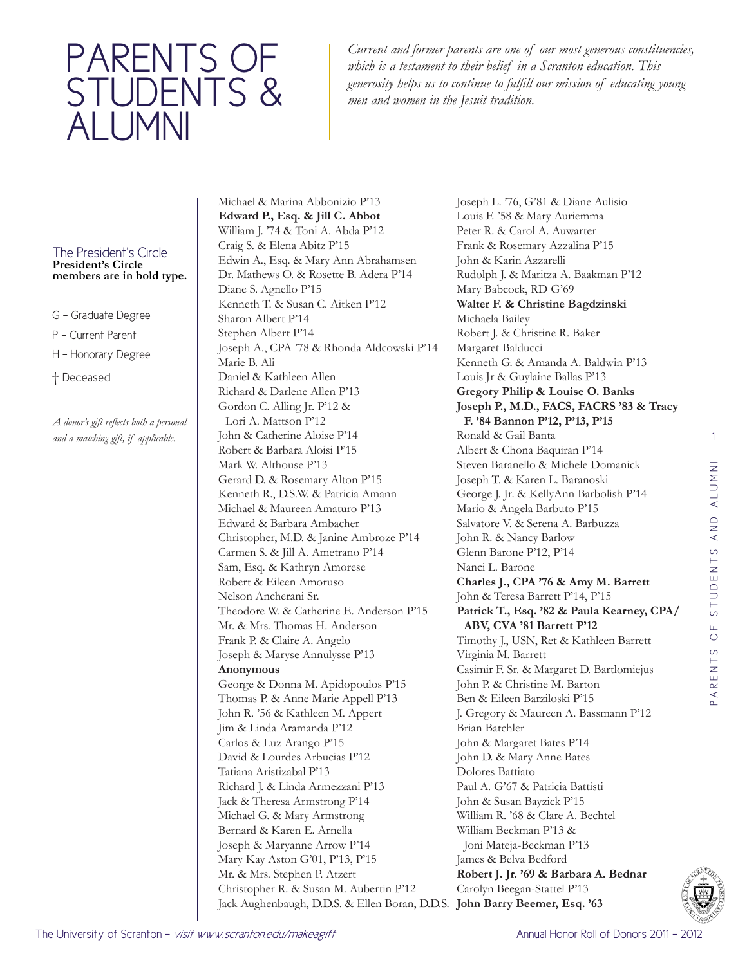## PARENTS OF STUDENTS & ALUMNI

*Current and former parents are one of our most generous constituencies, which is a testament to their belief in a Scranton education. This generosity helps us to continue to fulfill our mission of educating young men and women in the Jesuit tradition.*

## The President's Circle **President's Circle members are in bold type.**

- G Graduate Degree
- P Current Parent
- H Honorary Degree
- † Deceased

*A donor's gift reflects both a personal and a matching gift, if applicable.* 

Michael & Marina Abbonizio P'13 **Edward P., Esq. & Jill C. Abbot** William J. '74 & Toni A. Abda P'12 Craig S. & Elena Abitz P'15 Edwin A., Esq. & Mary Ann Abrahamsen Dr. Mathews O. & Rosette B. Adera P'14 Diane S. Agnello P'15 Kenneth T. & Susan C. Aitken P'12 Sharon Albert P'14 Stephen Albert P'14 Joseph A., CPA '78 & Rhonda Aldcowski P'14 Marie B. Ali Daniel & Kathleen Allen Richard & Darlene Allen P'13 Gordon C. Alling Jr. P'12 & Lori A. Mattson P'12 John & Catherine Aloise P'14 Robert & Barbara Aloisi P'15 Mark W. Althouse P'13 Gerard D. & Rosemary Alton P'15 Kenneth R., D.S.W. & Patricia Amann Michael & Maureen Amaturo P'13 Edward & Barbara Ambacher Christopher, M.D. & Janine Ambroze P'14 Carmen S. & Jill A. Ametrano P'14 Sam, Esq. & Kathryn Amorese Robert & Eileen Amoruso Nelson Ancherani Sr. Theodore W. & Catherine E. Anderson P'15 Mr. & Mrs. Thomas H. Anderson Frank P. & Claire A. Angelo Joseph & Maryse Annulysse P'13 **Anonymous** George & Donna M. Apidopoulos P'15 Thomas P. & Anne Marie Appell P'13 John R. '56 & Kathleen M. Appert Jim & Linda Aramanda P'12 Carlos & Luz Arango P'15 David & Lourdes Arbucias P'12 Tatiana Aristizabal P'13 Richard J. & Linda Armezzani P'13 Jack & Theresa Armstrong P'14 Michael G. & Mary Armstrong Bernard & Karen E. Arnella Joseph & Maryanne Arrow P'14 Mary Kay Aston G'01, P'13, P'15 Mr. & Mrs. Stephen P. Atzert Christopher R. & Susan M. Aubertin P'12 Jack Aughenbaugh, D.D.S. & Ellen Boran, D.D.S. **John Barry Beemer, Esq. '63**

Joseph L. '76, G'81 & Diane Aulisio Louis F. '58 & Mary Auriemma Peter R. & Carol A. Auwarter Frank & Rosemary Azzalina P'15 John & Karin Azzarelli Rudolph J. & Maritza A. Baakman P'12 Mary Babcock, RD G'69 **Walter F. & Christine Bagdzinski** Michaela Bailey Robert J. & Christine R. Baker Margaret Balducci Kenneth G. & Amanda A. Baldwin P'13 Louis Jr & Guylaine Ballas P'13 **Gregory Philip & Louise O. Banks Joseph P., M.D., FACS, FACRS '83 & Tracy F. '84 Bannon P'12, P'13, P'15** Ronald & Gail Banta Albert & Chona Baquiran P'14 Steven Baranello & Michele Domanick Joseph T. & Karen L. Baranoski George J. Jr. & KellyAnn Barbolish P'14 Mario & Angela Barbuto P'15 Salvatore V. & Serena A. Barbuzza John R. & Nancy Barlow Glenn Barone P'12, P'14 Nanci L. Barone **Charles J., CPA '76 & Amy M. Barrett** John & Teresa Barrett P'14, P'15 **Patrick T., Esq. '82 & Paula Kearney, CPA/ ABV, CVA '81 Barrett P'12** Timothy J., USN, Ret & Kathleen Barrett Virginia M. Barrett Casimir F. Sr. & Margaret D. Bartlomiejus John P. & Christine M. Barton Ben & Eileen Barziloski P'15 J. Gregory & Maureen A. Bassmann P'12 Brian Batchler John & Margaret Bates P'14 John D. & Mary Anne Bates Dolores Battiato Paul A. G'67 & Patricia Battisti John & Susan Bayzick P'15 William R. '68 & Clare A. Bechtel William Beckman P'13 & Joni Mateja-Beckman P'13 James & Belva Bedford **Robert J. Jr. '69 & Barbara A. Bednar** Carolyn Beegan-Stattel P'13

1

PARENTS OF STUDENTS AND ALUMNI

PARENTS OF STUDENTS AND ALUMNI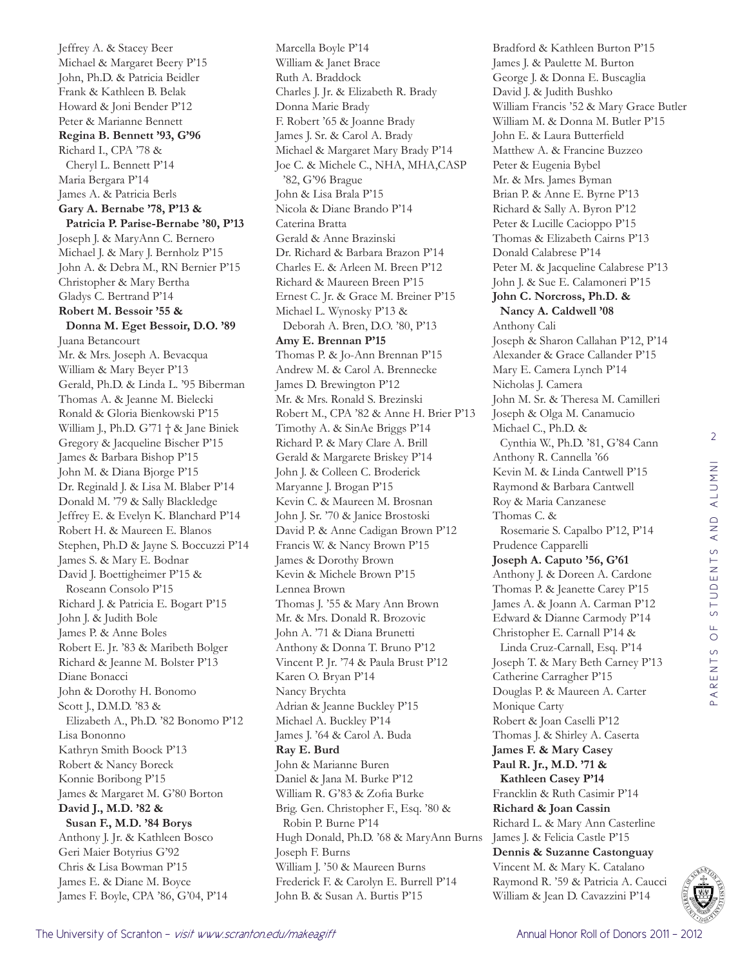Jeffrey A. & Stacey Beer Michael & Margaret Beery P'15 John, Ph.D. & Patricia Beidler Frank & Kathleen B. Belak Howard & Joni Bender P'12 Peter & Marianne Bennett **Regina B. Bennett '93, G'96** Richard I., CPA '78 & Cheryl L. Bennett P'14 Maria Bergara P'14 James A. & Patricia Berls **Gary A. Bernabe '78, P'13 & Patricia P. Parise-Bernabe '80, P'13** Joseph J. & MaryAnn C. Bernero Michael J. & Mary J. Bernholz P'15 John A. & Debra M., RN Bernier P'15 Christopher & Mary Bertha Gladys C. Bertrand P'14 **Robert M. Bessoir '55 & Donna M. Eget Bessoir, D.O. '89** Juana Betancourt Mr. & Mrs. Joseph A. Bevacqua William & Mary Beyer P'13 Gerald, Ph.D. & Linda L. '95 Biberman Thomas A. & Jeanne M. Bielecki Ronald & Gloria Bienkowski P'15 William J., Ph.D. G'71 † & Jane Biniek Gregory & Jacqueline Bischer P'15 James & Barbara Bishop P'15 John M. & Diana Bjorge P'15 Dr. Reginald J. & Lisa M. Blaber P'14 Donald M. '79 & Sally Blackledge Jeffrey E. & Evelyn K. Blanchard P'14 Robert H. & Maureen E. Blanos Stephen, Ph.D & Jayne S. Boccuzzi P'14 James S. & Mary E. Bodnar David J. Boettigheimer P'15 & Roseann Consolo P'15 Richard J. & Patricia E. Bogart P'15 John J. & Judith Bole James P. & Anne Boles Robert E. Jr. '83 & Maribeth Bolger Richard & Jeanne M. Bolster P'13 Diane Bonacci John & Dorothy H. Bonomo Scott J., D.M.D. '83 & Elizabeth A., Ph.D. '82 Bonomo P'12 Lisa Bononno Kathryn Smith Boock P'13 Robert & Nancy Boreck Konnie Boribong P'15 James & Margaret M. G'80 Borton **David J., M.D. '82 & Susan F., M.D. '84 Borys** Anthony J. Jr. & Kathleen Bosco Geri Maier Botyrius G'92 Chris & Lisa Bowman P'15 James E. & Diane M. Boyce James F. Boyle, CPA '86, G'04, P'14

Marcella Boyle P'14 William & Janet Brace Ruth A. Braddock Charles J. Jr. & Elizabeth R. Brady Donna Marie Brady F. Robert '65 & Joanne Brady James J. Sr. & Carol A. Brady Michael & Margaret Mary Brady P'14 Joe C. & Michele C., NHA, MHA,CASP '82, G'96 Brague John & Lisa Brala P'15 Nicola & Diane Brando P'14 Caterina Bratta Gerald & Anne Brazinski Dr. Richard & Barbara Brazon P'14 Charles E. & Arleen M. Breen P'12 Richard & Maureen Breen P'15 Ernest C. Jr. & Grace M. Breiner P'15 Michael L. Wynosky P'13 & Deborah A. Bren, D.O. '80, P'13 **Amy E. Brennan P'15** Thomas P. & Jo-Ann Brennan P'15 Andrew M. & Carol A. Brennecke James D. Brewington P'12 Mr. & Mrs. Ronald S. Brezinski Robert M., CPA '82 & Anne H. Brier P'13 Timothy A. & SinAe Briggs P'14 Richard P. & Mary Clare A. Brill Gerald & Margarete Briskey P'14 John J. & Colleen C. Broderick Maryanne J. Brogan P'15 Kevin C. & Maureen M. Brosnan John J. Sr. '70 & Janice Brostoski David P. & Anne Cadigan Brown P'12 Francis W. & Nancy Brown P'15 James & Dorothy Brown Kevin & Michele Brown P'15 Lennea Brown Thomas J. '55 & Mary Ann Brown Mr. & Mrs. Donald R. Brozovic John A. '71 & Diana Brunetti Anthony & Donna T. Bruno P'12 Vincent P. Jr. '74 & Paula Brust P'12 Karen O. Bryan P'14 Nancy Brychta Adrian & Jeanne Buckley P'15 Michael A. Buckley P'14 James J. '64 & Carol A. Buda **Ray E. Burd**  John & Marianne Buren Daniel & Jana M. Burke P'12 William R. G'83 & Zofia Burke Brig. Gen. Christopher F., Esq. '80 & Robin P. Burne P'14 Hugh Donald, Ph.D. '68 & MaryAnn Burns Joseph F. Burns William J. '50 & Maureen Burns Frederick F. & Carolyn E. Burrell P'14 John B. & Susan A. Burtis P'15

Bradford & Kathleen Burton P'15 James J. & Paulette M. Burton George J. & Donna E. Buscaglia David J. & Judith Bushko William Francis '52 & Mary Grace Butler William M. & Donna M. Butler P'15 John E. & Laura Butterfield Matthew A. & Francine Buzzeo Peter & Eugenia Bybel Mr. & Mrs. James Byman Brian P. & Anne E. Byrne P'13 Richard & Sally A. Byron P'12 Peter & Lucille Cacioppo P'15 Thomas & Elizabeth Cairns P'13 Donald Calabrese P'14 Peter M. & Jacqueline Calabrese P'13 John J. & Sue E. Calamoneri P'15 **John C. Norcross, Ph.D. & Nancy A. Caldwell '08** Anthony Cali Joseph & Sharon Callahan P'12, P'14 Alexander & Grace Callander P'15 Mary E. Camera Lynch P'14 Nicholas J. Camera John M. Sr. & Theresa M. Camilleri Joseph & Olga M. Canamucio Michael C., Ph.D. & Cynthia W., Ph.D. '81, G'84 Cann Anthony R. Cannella '66 Kevin M. & Linda Cantwell P'15 Raymond & Barbara Cantwell Roy & Maria Canzanese Thomas C. & Rosemarie S. Capalbo P'12, P'14 Prudence Capparelli **Joseph A. Caputo '56, G'61** Anthony J. & Doreen A. Cardone Thomas P. & Jeanette Carey P'15 James A. & Joann A. Carman P'12 Edward & Dianne Carmody P'14 Christopher E. Carnall P'14 & Linda Cruz-Carnall, Esq. P'14 Joseph T. & Mary Beth Carney P'13 Catherine Carragher P'15 Douglas P. & Maureen A. Carter Monique Carty Robert & Joan Caselli P'12 Thomas J. & Shirley A. Caserta **James F. & Mary Casey Paul R. Jr., M.D. '71 & Kathleen Casey P'14** Francklin & Ruth Casimir P'14 **Richard & Joan Cassin** Richard L. & Mary Ann Casterline James J. & Felicia Castle P'15 **Dennis & Suzanne Castonguay** Vincent M. & Mary K. Catalano Raymond R. '59 & Patricia A. Caucci William & Jean D. Cavazzini P'14

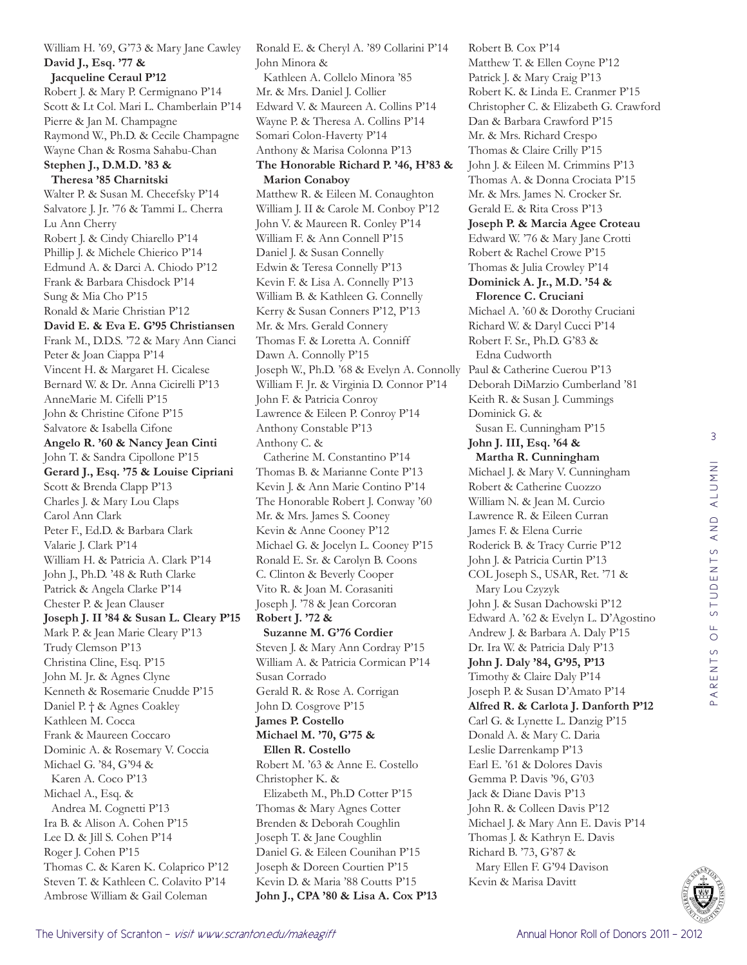William H. '69, G'73 & Mary Jane Cawley **David J., Esq. '77 & Jacqueline Ceraul P'12** Robert J. & Mary P. Cermignano P'14 Scott & Lt Col. Mari L. Chamberlain P'14 Pierre & Jan M. Champagne Raymond W., Ph.D. & Cecile Champagne Wayne Chan & Rosma Sahabu-Chan **Stephen J., D.M.D. '83 & Theresa '85 Charnitski** Walter P. & Susan M. Checefsky P'14 Salvatore J. Jr. '76 & Tammi L. Cherra Lu Ann Cherry Robert J. & Cindy Chiarello P'14 Phillip J. & Michele Chierico P'14 Edmund A. & Darci A. Chiodo P'12 Frank & Barbara Chisdock P'14 Sung & Mia Cho P'15 Ronald & Marie Christian P'12 **David E. & Eva E. G'95 Christiansen** Frank M., D.D.S. '72 & Mary Ann Cianci Peter & Joan Ciappa P'14 Vincent H. & Margaret H. Cicalese Bernard W. & Dr. Anna Cicirelli P'13 AnneMarie M. Cifelli P'15 John & Christine Cifone P'15 Salvatore & Isabella Cifone **Angelo R. '60 & Nancy Jean Cinti** John T. & Sandra Cipollone P'15 **Gerard J., Esq. '75 & Louise Cipriani** Scott & Brenda Clapp P'13 Charles J. & Mary Lou Claps Carol Ann Clark Peter F., Ed.D. & Barbara Clark Valarie J. Clark P'14 William H. & Patricia A. Clark P'14 John J., Ph.D. '48 & Ruth Clarke Patrick & Angela Clarke P'14 Chester P. & Jean Clauser **Joseph J. II '84 & Susan L. Cleary P'15** Mark P. & Jean Marie Cleary P'13 Trudy Clemson P'13 Christina Cline, Esq. P'15 John M. Jr. & Agnes Clyne Kenneth & Rosemarie Cnudde P'15 Daniel P. † & Agnes Coakley Kathleen M. Cocca Frank & Maureen Coccaro Dominic A. & Rosemary V. Coccia Michael G. '84, G'94 & Karen A. Coco P'13 Michael A., Esq. & Andrea M. Cognetti P'13 Ira B. & Alison A. Cohen P'15 Lee D. & Jill S. Cohen P'14 Roger J. Cohen P'15 Thomas C. & Karen K. Colaprico P'12 Steven T. & Kathleen C. Colavito P'14 Ambrose William & Gail Coleman

Ronald E. & Cheryl A. '89 Collarini P'14 John Minora & Kathleen A. Collelo Minora '85 Mr. & Mrs. Daniel J. Collier Edward V. & Maureen A. Collins P'14 Wayne P. & Theresa A. Collins P'14 Somari Colon-Haverty P'14 Anthony & Marisa Colonna P'13 **The Honorable Richard P. '46, H'83 & Marion Conaboy** Matthew R. & Eileen M. Conaughton William J. II & Carole M. Conboy P'12 John V. & Maureen R. Conley P'14 William F. & Ann Connell P'15 Daniel J. & Susan Connelly Edwin & Teresa Connelly P'13 Kevin F. & Lisa A. Connelly P'13 William B. & Kathleen G. Connelly Kerry & Susan Conners P'12, P'13 Mr. & Mrs. Gerald Connery Thomas F. & Loretta A. Conniff Dawn A. Connolly P'15 Joseph W., Ph.D. '68 & Evelyn A. Connolly Paul & Catherine Cuerou P'13 William F. Jr. & Virginia D. Connor P'14 John F. & Patricia Conroy Lawrence & Eileen P. Conroy P'14 Anthony Constable P'13 Anthony C. & Catherine M. Constantino P'14 Thomas B. & Marianne Conte P'13 Kevin J. & Ann Marie Contino P'14 The Honorable Robert J. Conway '60 Mr. & Mrs. James S. Cooney Kevin & Anne Cooney P'12 Michael G. & Jocelyn L. Cooney P'15 Ronald E. Sr. & Carolyn B. Coons C. Clinton & Beverly Cooper Vito R. & Joan M. Corasaniti Joseph J. '78 & Jean Corcoran **Robert J. '72 & Suzanne M. G'76 Cordier** Steven J. & Mary Ann Cordray P'15 William A. & Patricia Cormican P'14 Susan Corrado Gerald R. & Rose A. Corrigan John D. Cosgrove P'15 **James P. Costello Michael M. '70, G'75 & Ellen R. Costello** Robert M. '63 & Anne E. Costello Christopher K. & Elizabeth M., Ph.D Cotter P'15 Thomas & Mary Agnes Cotter Brenden & Deborah Coughlin Joseph T. & Jane Coughlin Daniel G. & Eileen Counihan P'15 Joseph & Doreen Courtien P'15 Kevin D. & Maria '88 Coutts P'15 **John J., CPA '80 & Lisa A. Cox P'13**

Robert B. Cox P'14 Matthew T. & Ellen Coyne P'12 Patrick J. & Mary Craig P'13 Robert K. & Linda E. Cranmer P'15 Christopher C. & Elizabeth G. Crawford Dan & Barbara Crawford P'15 Mr. & Mrs. Richard Crespo Thomas & Claire Crilly P'15 John J. & Eileen M. Crimmins P'13 Thomas A. & Donna Crociata P'15 Mr. & Mrs. James N. Crocker Sr. Gerald E. & Rita Cross P'13 **Joseph P. & Marcia Agee Croteau** Edward W. '76 & Mary Jane Crotti Robert & Rachel Crowe P'15 Thomas & Julia Crowley P'14 **Dominick A. Jr., M.D. '54 & Florence C. Cruciani** Michael A. '60 & Dorothy Cruciani Richard W. & Daryl Cucci P'14 Robert F. Sr., Ph.D. G'83 & Edna Cudworth Deborah DiMarzio Cumberland '81 Keith R. & Susan J. Cummings Dominick G. & Susan E. Cunningham P'15 **John J. III, Esq. '64 & Martha R. Cunningham** Michael J. & Mary V. Cunningham Robert & Catherine Cuozzo William N. & Jean M. Curcio Lawrence R. & Eileen Curran James F. & Elena Currie Roderick B. & Tracy Currie P'12 John J. & Patricia Curtin P'13 COL Joseph S., USAR, Ret. '71 & Mary Lou Czyzyk John J. & Susan Dachowski P'12 Edward A. '62 & Evelyn L. D'Agostino Andrew J. & Barbara A. Daly P'15 Dr. Ira W. & Patricia Daly P'13 **John J. Daly '84, G'95, P'13** Timothy & Claire Daly P'14 Joseph P. & Susan D'Amato P'14 **Alfred R. & Carlota J. Danforth P'12** Carl G. & Lynette L. Danzig P'15 Donald A. & Mary C. Daria Leslie Darrenkamp P'13 Earl E. '61 & Dolores Davis Gemma P. Davis '96, G'03 Jack & Diane Davis P'13 John R. & Colleen Davis P'12 Michael J. & Mary Ann E. Davis P'14 Thomas J. & Kathryn E. Davis Richard B. '73, G'87 & Mary Ellen F. G'94 Davison Kevin & Marisa Davitt

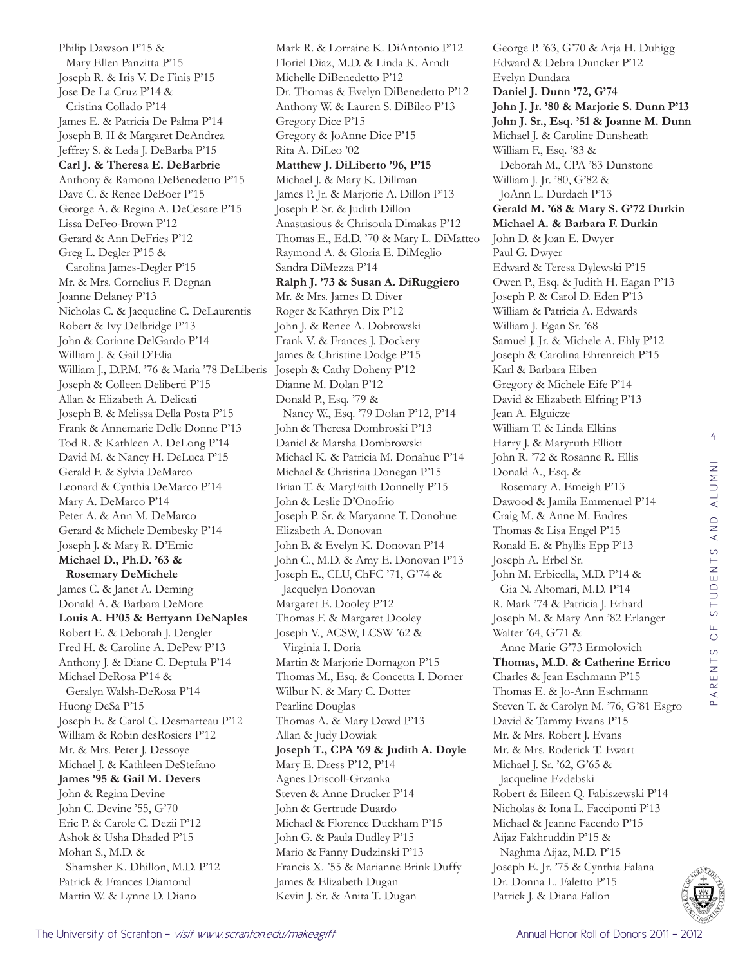Philip Dawson P'15 & Mary Ellen Panzitta P'15 Joseph R. & Iris V. De Finis P'15 Jose De La Cruz P'14 & Cristina Collado P'14 James E. & Patricia De Palma P'14 Joseph B. II & Margaret DeAndrea Jeffrey S. & Leda J. DeBarba P'15 **Carl J. & Theresa E. DeBarbrie** Anthony & Ramona DeBenedetto P'15 Dave C. & Renee DeBoer P'15 George A. & Regina A. DeCesare P'15 Lissa DeFeo-Brown P'12 Gerard & Ann DeFries P'12 Greg L. Degler P'15 & Carolina James-Degler P'15 Mr. & Mrs. Cornelius F. Degnan Joanne Delaney P'13 Nicholas C. & Jacqueline C. DeLaurentis Robert & Ivy Delbridge P'13 John & Corinne DelGardo P'14 William J. & Gail D'Elia William J., D.P.M. '76 & Maria '78 DeLiberis Joseph & Colleen Deliberti P'15 Allan & Elizabeth A. Delicati Joseph B. & Melissa Della Posta P'15 Frank & Annemarie Delle Donne P'13 Tod R. & Kathleen A. DeLong P'14 David M. & Nancy H. DeLuca P'15 Gerald F. & Sylvia DeMarco Leonard & Cynthia DeMarco P'14 Mary A. DeMarco P'14 Peter A. & Ann M. DeMarco Gerard & Michele Dembesky P'14 Joseph J. & Mary R. D'Emic **Michael D., Ph.D. '63 & Rosemary DeMichele** James C. & Janet A. Deming Donald A. & Barbara DeMore **Louis A. H'05 & Bettyann DeNaples** Robert E. & Deborah J. Dengler Fred H. & Caroline A. DePew P'13 Anthony J. & Diane C. Deptula P'14 Michael DeRosa P'14 & Geralyn Walsh-DeRosa P'14 Huong DeSa P'15 Joseph E. & Carol C. Desmarteau P'12 William & Robin desRosiers P'12 Mr. & Mrs. Peter J. Dessoye Michael J. & Kathleen DeStefano **James '95 & Gail M. Devers** John & Regina Devine John C. Devine '55, G'70 Eric P. & Carole C. Dezii P'12 Ashok & Usha Dhaded P'15 Mohan S., M.D. & Shamsher K. Dhillon, M.D. P'12 Patrick & Frances Diamond Martin W. & Lynne D. Diano

Mark R. & Lorraine K. DiAntonio P'12 Floriel Diaz, M.D. & Linda K. Arndt Michelle DiBenedetto P'12 Dr. Thomas & Evelyn DiBenedetto P'12 Anthony W. & Lauren S. DiBileo P'13 Gregory Dice P'15 Gregory & JoAnne Dice P'15 Rita A. DiLeo '02 **Matthew J. DiLiberto '96, P'15** Michael J. & Mary K. Dillman James P. Jr. & Marjorie A. Dillon P'13 Joseph P. Sr. & Judith Dillon Anastasious & Chrisoula Dimakas P'12 Thomas E., Ed.D. '70 & Mary L. DiMatteo Raymond A. & Gloria E. DiMeglio Sandra DiMezza P'14 **Ralph J. '73 & Susan A. DiRuggiero** Mr. & Mrs. James D. Diver Roger & Kathryn Dix P'12 John J. & Renee A. Dobrowski Frank V. & Frances J. Dockery James & Christine Dodge P'15 Joseph & Cathy Doheny P'12 Dianne M. Dolan P'12 Donald P., Esq. '79 & Nancy W., Esq. '79 Dolan P'12, P'14 John & Theresa Dombroski P'13 Daniel & Marsha Dombrowski Michael K. & Patricia M. Donahue P'14 Michael & Christina Donegan P'15 Brian T. & MaryFaith Donnelly P'15 John & Leslie D'Onofrio Joseph P. Sr. & Maryanne T. Donohue Elizabeth A. Donovan John B. & Evelyn K. Donovan P'14 John C., M.D. & Amy E. Donovan P'13 Joseph E., CLU, ChFC '71, G'74 & Jacquelyn Donovan Margaret E. Dooley P'12 Thomas F. & Margaret Dooley Joseph V., ACSW, LCSW '62 & Virginia I. Doria Martin & Marjorie Dornagon P'15 Thomas M., Esq. & Concetta I. Dorner Wilbur N. & Mary C. Dotter Pearline Douglas Thomas A. & Mary Dowd P'13 Allan & Judy Dowiak **Joseph T., CPA '69 & Judith A. Doyle** Mary E. Dress P'12, P'14 Agnes Driscoll-Grzanka Steven & Anne Drucker P'14 John & Gertrude Duardo Michael & Florence Duckham P'15 John G. & Paula Dudley P'15 Mario & Fanny Dudzinski P'13 Francis X. '55 & Marianne Brink Duffy James & Elizabeth Dugan Kevin J. Sr. & Anita T. Dugan

George P. '63, G'70 & Arja H. Duhigg Edward & Debra Duncker P'12 Evelyn Dundara **Daniel J. Dunn '72, G'74 John J. Jr. '80 & Marjorie S. Dunn P'13 John J. Sr., Esq. '51 & Joanne M. Dunn** Michael J. & Caroline Dunsheath William F., Esq. '83 & Deborah M., CPA '83 Dunstone William J. Jr. '80, G'82 & JoAnn L. Durdach P'13 **Gerald M. '68 & Mary S. G'72 Durkin Michael A. & Barbara F. Durkin** John D. & Joan E. Dwyer Paul G. Dwyer Edward & Teresa Dylewski P'15 Owen P., Esq. & Judith H. Eagan P'13 Joseph P. & Carol D. Eden P'13 William & Patricia A. Edwards William J. Egan Sr. '68 Samuel J. Jr. & Michele A. Ehly P'12 Joseph & Carolina Ehrenreich P'15 Karl & Barbara Eiben Gregory & Michele Eife P'14 David & Elizabeth Elfring P'13 Jean A. Elguicze William T. & Linda Elkins Harry J. & Maryruth Elliott John R. '72 & Rosanne R. Ellis Donald A., Esq. & Rosemary A. Emeigh P'13 Dawood & Jamila Emmenuel P'14 Craig M. & Anne M. Endres Thomas & Lisa Engel P'15 Ronald E. & Phyllis Epp P'13 Joseph A. Erbel Sr. John M. Erbicella, M.D. P'14 & Gia N. Altomari, M.D. P'14 R. Mark '74 & Patricia J. Erhard Joseph M. & Mary Ann '82 Erlanger Walter '64, G'71 & Anne Marie G'73 Ermolovich **Thomas, M.D. & Catherine Errico** Charles & Jean Eschmann P'15 Thomas E. & Jo-Ann Eschmann Steven T. & Carolyn M. '76, G'81 Esgro David & Tammy Evans P'15 Mr. & Mrs. Robert J. Evans Mr. & Mrs. Roderick T. Ewart Michael J. Sr. '62, G'65 & Jacqueline Ezdebski Robert & Eileen Q. Fabiszewski P'14 Nicholas & Iona L. Facciponti P'13 Michael & Jeanne Facendo P'15 Aijaz Fakhruddin P'15 & Naghma Aijaz, M.D. P'15 Joseph E. Jr. '75 & Cynthia Falana Dr. Donna L. Faletto P'15 Patrick J. & Diana Fallon

4

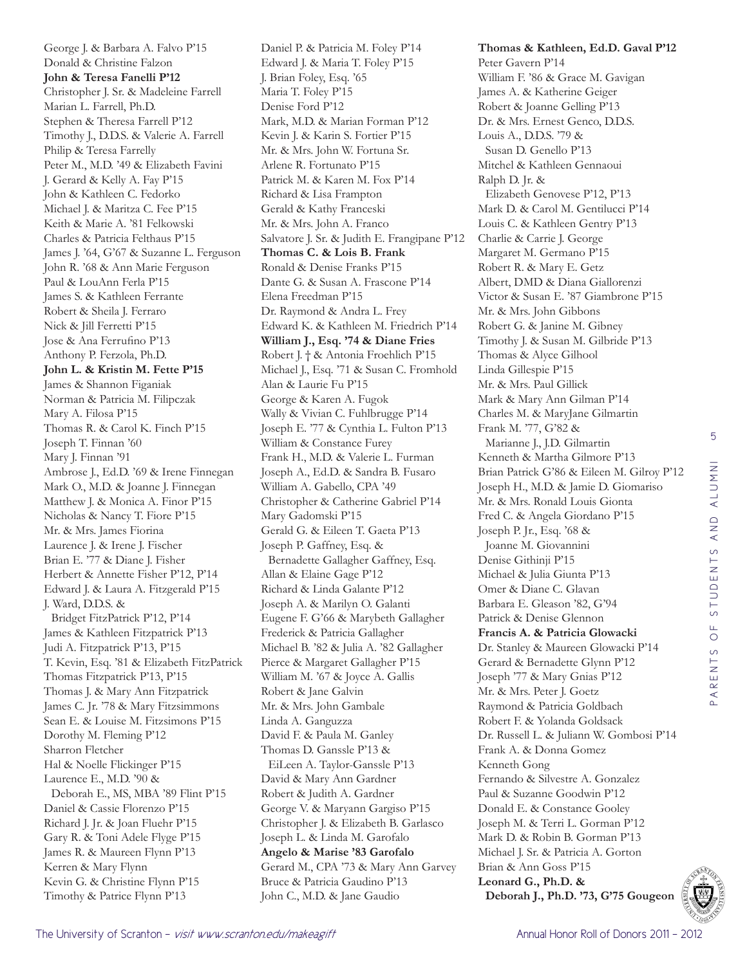5 STUDENTS AND ALUMNI PARENTS OF STUDENTS AND ALUMNI PARENTS OF



Daniel P. & Patricia M. Foley P'14 Edward J. & Maria T. Foley P'15 J. Brian Foley, Esq. '65 Maria T. Foley P'15 Denise Ford P'12 Mark, M.D. & Marian Forman P'12 Kevin J. & Karin S. Fortier P'15 Mr. & Mrs. John W. Fortuna Sr. Arlene R. Fortunato P'15 Patrick M. & Karen M. Fox P'14 Richard & Lisa Frampton Gerald & Kathy Franceski Mr. & Mrs. John A. Franco Salvatore J. Sr. & Judith E. Frangipane P'12 **Thomas C. & Lois B. Frank** Ronald & Denise Franks P'15 Dante G. & Susan A. Frascone P'14 Elena Freedman P'15 Dr. Raymond & Andra L. Frey Edward K. & Kathleen M. Friedrich P'14 **William J., Esq. '74 & Diane Fries** Robert J. † & Antonia Froehlich P'15 Michael J., Esq. '71 & Susan C. Fromhold Alan & Laurie Fu P'15 George & Karen A. Fugok Wally & Vivian C. Fuhlbrugge P'14 Joseph E. '77 & Cynthia L. Fulton P'13 William & Constance Furey Frank H., M.D. & Valerie L. Furman Joseph A., Ed.D. & Sandra B. Fusaro William A. Gabello, CPA '49 Christopher & Catherine Gabriel P'14 Mary Gadomski P'15 Gerald G. & Eileen T. Gaeta P'13 Joseph P. Gaffney, Esq. & Bernadette Gallagher Gaffney, Esq. Allan & Elaine Gage P'12 Richard & Linda Galante P'12 Joseph A. & Marilyn O. Galanti Eugene F. G'66 & Marybeth Gallagher Frederick & Patricia Gallagher Michael B. '82 & Julia A. '82 Gallagher Pierce & Margaret Gallagher P'15 William M. '67 & Joyce A. Gallis Robert & Jane Galvin Mr. & Mrs. John Gambale Linda A. Ganguzza David F. & Paula M. Ganley Thomas D. Ganssle P'13 & EiLeen A. Taylor-Ganssle P'13 David & Mary Ann Gardner Robert & Judith A. Gardner George V. & Maryann Gargiso P'15 Christopher J. & Elizabeth B. Garlasco Joseph L. & Linda M. Garofalo **Angelo & Marise '83 Garofalo** Gerard M., CPA '73 & Mary Ann Garvey Bruce & Patricia Gaudino P'13 John C., M.D. & Jane Gaudio

**Thomas & Kathleen, Ed.D. Gaval P'12** Peter Gavern P'14 William F. '86 & Grace M. Gavigan James A. & Katherine Geiger Robert & Joanne Gelling P'13 Dr. & Mrs. Ernest Genco, D.D.S. Louis A., D.D.S. '79 & Susan D. Genello P'13 Mitchel & Kathleen Gennaoui Ralph D. Jr. & Elizabeth Genovese P'12, P'13 Mark D. & Carol M. Gentilucci P'14 Louis C. & Kathleen Gentry P'13 Charlie & Carrie J. George Margaret M. Germano P'15 Robert R. & Mary E. Getz Albert, DMD & Diana Giallorenzi Victor & Susan E. '87 Giambrone P'15 Mr. & Mrs. John Gibbons Robert G. & Janine M. Gibney Timothy J. & Susan M. Gilbride P'13 Thomas & Alyce Gilhool Linda Gillespie P'15 Mr. & Mrs. Paul Gillick Mark & Mary Ann Gilman P'14 Charles M. & MaryJane Gilmartin Frank M. '77, G'82 & Marianne J., J.D. Gilmartin Kenneth & Martha Gilmore P'13 Brian Patrick G'86 & Eileen M. Gilroy P'12 Joseph H., M.D. & Jamie D. Giomariso Mr. & Mrs. Ronald Louis Gionta Fred C. & Angela Giordano P'15 Joseph P. Jr., Esq. '68 & Joanne M. Giovannini Denise Githinji P'15 Michael & Julia Giunta P'13 Omer & Diane C. Glavan Barbara E. Gleason '82, G'94 Patrick & Denise Glennon **Francis A. & Patricia Glowacki** Dr. Stanley & Maureen Glowacki P'14 Gerard & Bernadette Glynn P'12 Joseph '77 & Mary Gnias P'12 Mr. & Mrs. Peter J. Goetz Raymond & Patricia Goldbach Robert F. & Yolanda Goldsack Dr. Russell L. & Juliann W. Gombosi P'14 Frank A. & Donna Gomez Kenneth Gong Fernando & Silvestre A. Gonzalez Paul & Suzanne Goodwin P'12 Donald E. & Constance Gooley Joseph M. & Terri L. Gorman P'12 Mark D. & Robin B. Gorman P'13 Michael J. Sr. & Patricia A. Gorton Brian & Ann Goss P'15 **Leonard G., Ph.D. & Deborah J., Ph.D. '73, G'75 Gougeon**

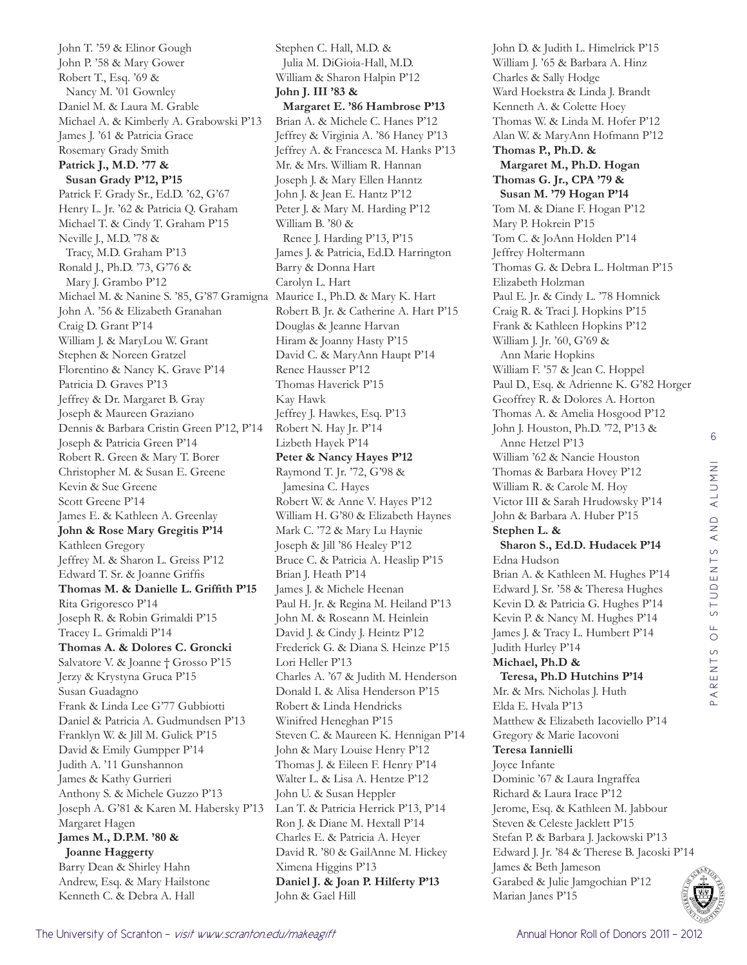John T. '59 & Elinor Gough John P. '58 & Mary Gower Robert T., Esq. '69 & Nancy M. '01 Gownley Daniel M. & Laura M. Grable Michael A. & Kimberly A. Grabowski P'13 James J. '61 & Patricia Grace Rosemary Grady Smith **Patrick J., M.D. '77 & Susan Grady P'12, P'15** Patrick F. Grady Sr., Ed.D. '62, G'67 Henry L. Jr. '62 & Patricia Q. Graham Michael T. & Cindy T. Graham P'15 Neville J., M.D. '78 & Tracy, M.D. Graham P'13 Ronald J., Ph.D. '73, G'76 & Mary J. Grambo P'12 Michael M. & Nanine S. '85, G'87 Gramigna Maurice I., Ph.D. & Mary K. Hart John A. '56 & Elizabeth Granahan Craig D. Grant P'14 William J. & MaryLou W. Grant Stephen & Noreen Gratzel Florentino & Nancy K. Grave P'14 Patricia D. Graves P'13 Jeffrey & Dr. Margaret B. Gray Joseph & Maureen Graziano Dennis & Barbara Cristin Green P'12, P'14 Joseph & Patricia Green P'14 Robert R. Green & Mary T. Borer Christopher M. & Susan E. Greene Kevin & Sue Greene Scott Greene P'14 James E. & Kathleen A. Greenlay **John & Rose Mary Gregitis P'14** Kathleen Gregory Jeffrey M. & Sharon L. Greiss P'12 Edward T. Sr. & Joanne Griffis **Thomas M. & Danielle L. Griffith P'15** Rita Grigoresco P'14 Joseph R. & Robin Grimaldi P'15 Tracey L. Grimaldi P'14 **Thomas A. & Dolores C. Groncki** Salvatore V. & Joanne † Grosso P'15 Jerzy & Krystyna Gruca P'15 Susan Guadagno Frank & Linda Lee G'77 Gubbiotti Daniel & Patricia A. Gudmundsen P'13 Franklyn W. & Jill M. Gulick P'15 David & Emily Gumpper P'14 Judith A. '11 Gunshannon James & Kathy Gurrieri Anthony S. & Michele Guzzo P'13 Joseph A. G'81 & Karen M. Habersky P'13 Margaret Hagen **James M., D.P.M. '80 & Joanne Haggerty** Barry Dean & Shirley Hahn Andrew, Esq. & Mary Hailstone Kenneth C. & Debra A. Hall

Stephen C. Hall, M.D. & Julia M. DiGioia-Hall, M.D. William & Sharon Halpin P'12 **John J. III '83 & Margaret E. '86 Hambrose P'13** Brian A. & Michele C. Hanes P'12 Jeffrey & Virginia A. '86 Haney P'13 Jeffrey A. & Francesca M. Hanks P'13 Mr. & Mrs. William R. Hannan Joseph J. & Mary Ellen Hanntz John J. & Jean E. Hantz P'12 Peter J. & Mary M. Harding P'12 William B. '80 & Renee J. Harding P'13, P'15 James J. & Patricia, Ed.D. Harrington Barry & Donna Hart Carolyn L. Hart Robert B. Jr. & Catherine A. Hart P'15 Douglas & Jeanne Harvan Hiram & Joanny Hasty P'15 David C. & MaryAnn Haupt P'14 Renee Hausser P'12 Thomas Haverick P'15 Kay Hawk Jeffrey J. Hawkes, Esq. P'13 Robert N. Hay Jr. P'14 Lizbeth Hayek P'14 **Peter & Nancy Hayes P'12** Raymond T. Jr. '72, G'98 & Jamesina C. Hayes Robert W. & Anne V. Hayes P'12 William H. G'80 & Elizabeth Haynes Mark C. '72 & Mary Lu Haynie Joseph & Jill '86 Healey P'12 Bruce C. & Patricia A. Heaslip P'15 Brian J. Heath P'14 James J. & Michele Heenan Paul H. Jr. & Regina M. Heiland P'13 John M. & Roseann M. Heinlein David J. & Cindy J. Heintz P'12 Frederick G. & Diana S. Heinze P'15 Lori Heller P'13 Charles A. '67 & Judith M. Henderson Donald I. & Alisa Henderson P'15 Robert & Linda Hendricks Winifred Heneghan P'15 Steven C. & Maureen K. Hennigan P'14 John & Mary Louise Henry P'12 Thomas J. & Eileen F. Henry P'14 Walter L. & Lisa A. Hentze P'12 John U. & Susan Heppler Lan T. & Patricia Herrick P'13, P'14 Ron J. & Diane M. Hextall P'14 Charles E. & Patricia A. Heyer David R. '80 & GailAnne M. Hickey Ximena Higgins P'13 **Daniel J. & Joan P. Hilferty P'13** John & Gael Hill

John D. & Judith L. Himelrick P'15 William J. '65 & Barbara A. Hinz Charles & Sally Hodge Ward Hoekstra & Linda J. Brandt Kenneth A. & Colette Hoey Thomas W. & Linda M. Hofer P'12 Alan W. & MaryAnn Hofmann P'12 **Thomas P., Ph.D. & Margaret M., Ph.D. Hogan Thomas G. Jr., CPA '79 & Susan M. '79 Hogan P'14** Tom M. & Diane F. Hogan P'12 Mary P. Hokrein P'15 Tom C. & JoAnn Holden P'14 Jeffrey Holtermann Thomas G. & Debra L. Holtman P'15 Elizabeth Holzman Paul E. Jr. & Cindy L. '78 Homnick Craig R. & Traci J. Hopkins P'15 Frank & Kathleen Hopkins P'12 William J. Jr. '60, G'69 & Ann Marie Hopkins William F. '57 & Jean C. Hoppel Paul D., Esq. & Adrienne K. G'82 Horger Geoffrey R. & Dolores A. Horton Thomas A. & Amelia Hosgood P'12 John J. Houston, Ph.D. '72, P'13 & Anne Hetzel P'13 William '62 & Nancie Houston Thomas & Barbara Hovey P'12 William R. & Carole M. Hoy Victor III & Sarah Hrudowsky P'14 John & Barbara A. Huber P'15 **Stephen L. & Sharon S., Ed.D. Hudacek P'14** Edna Hudson Brian A. & Kathleen M. Hughes P'14 Edward J. Sr. '58 & Theresa Hughes Kevin D. & Patricia G. Hughes P'14 Kevin P. & Nancy M. Hughes P'14 James J. & Tracy L. Humbert P'14 Judith Hurley P'14 **Michael, Ph.D & Teresa, Ph.D Hutchins P'14** Mr. & Mrs. Nicholas J. Huth Elda E. Hvala P'13 Matthew & Elizabeth Iacoviello P'14 Gregory & Marie Iacovoni **Teresa Iannielli**  Joyce Infante Dominic '67 & Laura Ingraffea Richard & Laura Irace P'12 Jerome, Esq. & Kathleen M. Jabbour Steven & Celeste Jacklett P'15 Stefan P. & Barbara J. Jackowski P'13 Edward J. Jr. '84 & Therese B. Jacoski P'14 James & Beth Jameson Garabed & Julie Jamgochian P'12 Marian Janes P'15

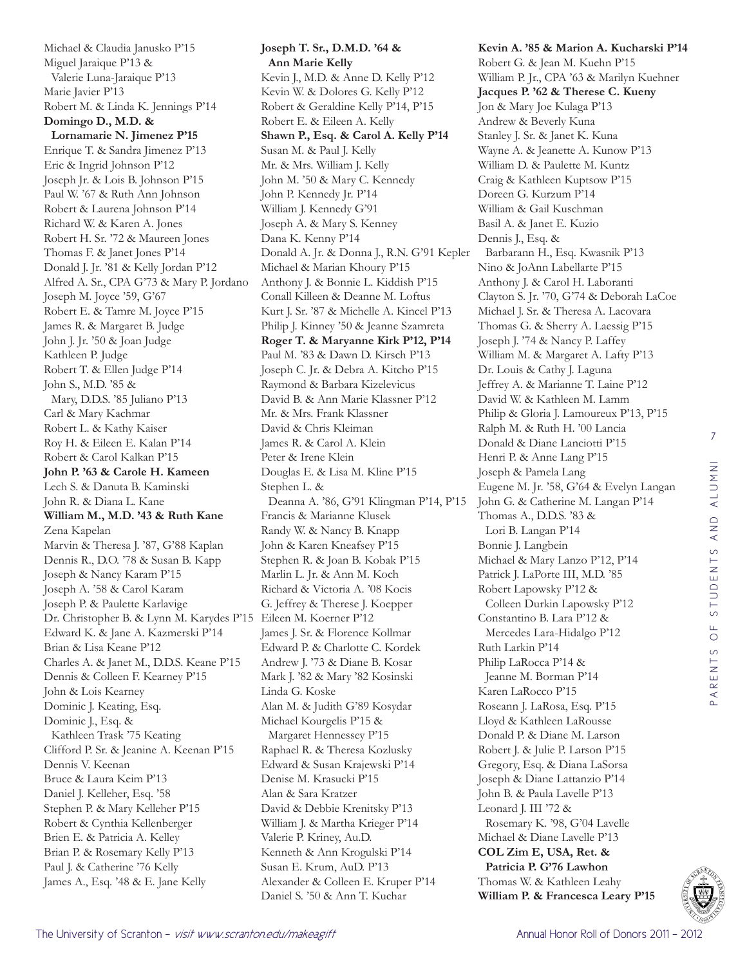7 STUDENTS AND ALUMNI PARENTS OF STUDENTS AND ALUMNI PARENTS OF



**Joseph T. Sr., D.M.D. '64 & Ann Marie Kelly** Kevin J., M.D. & Anne D. Kelly P'12 Kevin W. & Dolores G. Kelly P'12 Robert & Geraldine Kelly P'14, P'15 Robert E. & Eileen A. Kelly **Shawn P., Esq. & Carol A. Kelly P'14** Susan M. & Paul J. Kelly Mr. & Mrs. William J. Kelly John M. '50 & Mary C. Kennedy John P. Kennedy Jr. P'14 William J. Kennedy G'91 Joseph A. & Mary S. Kenney Dana K. Kenny P'14 Donald A. Jr. & Donna J., R.N. G'91 Kepler Michael & Marian Khoury P'15 Anthony J. & Bonnie L. Kiddish P'15 Conall Killeen & Deanne M. Loftus Kurt J. Sr. '87 & Michelle A. Kincel P'13 Philip J. Kinney '50 & Jeanne Szamreta **Roger T. & Maryanne Kirk P'12, P'14** Paul M. '83 & Dawn D. Kirsch P'13 Joseph C. Jr. & Debra A. Kitcho P'15 Raymond & Barbara Kizelevicus David B. & Ann Marie Klassner P'12 Mr. & Mrs. Frank Klassner David & Chris Kleiman James R. & Carol A. Klein Peter & Irene Klein Douglas E. & Lisa M. Kline P'15 Stephen L. & Deanna A. '86, G'91 Klingman P'14, P'15 Francis & Marianne Klusek Randy W. & Nancy B. Knapp John & Karen Kneafsey P'15 Stephen R. & Joan B. Kobak P'15 Marlin L. Jr. & Ann M. Koch Richard & Victoria A. '08 Kocis G. Jeffrey & Therese J. Koepper James J. Sr. & Florence Kollmar Edward P. & Charlotte C. Kordek Andrew J. '73 & Diane B. Kosar Mark J. '82 & Mary '82 Kosinski Linda G. Koske Alan M. & Judith G'89 Kosydar Michael Kourgelis P'15 & Margaret Hennessey P'15 Raphael R. & Theresa Kozlusky Edward & Susan Krajewski P'14 Denise M. Krasucki P'15 Alan & Sara Kratzer David & Debbie Krenitsky P'13 William J. & Martha Krieger P'14 Valerie P. Kriney, Au.D. Kenneth & Ann Krogulski P'14 Susan E. Krum, AuD. P'13 Alexander & Colleen E. Kruper P'14 Daniel S. '50 & Ann T. Kuchar

**Kevin A. '85 & Marion A. Kucharski P'14** Robert G. & Jean M. Kuehn P'15 William P. Jr., CPA '63 & Marilyn Kuehner **Jacques P. '62 & Therese C. Kueny** Jon & Mary Joe Kulaga P'13 Andrew & Beverly Kuna Stanley J. Sr. & Janet K. Kuna Wayne A. & Jeanette A. Kunow P'13 William D. & Paulette M. Kuntz Craig & Kathleen Kuptsow P'15 Doreen G. Kurzum P'14 William & Gail Kuschman Basil A. & Janet E. Kuzio Dennis J., Esq. & Barbarann H., Esq. Kwasnik P'13 Nino & JoAnn Labellarte P'15 Anthony J. & Carol H. Laboranti Clayton S. Jr. '70, G'74 & Deborah LaCoe Michael J. Sr. & Theresa A. Lacovara Thomas G. & Sherry A. Laessig P'15 Joseph J. '74 & Nancy P. Laffey William M. & Margaret A. Lafty P'13 Dr. Louis & Cathy J. Laguna Jeffrey A. & Marianne T. Laine P'12 David W. & Kathleen M. Lamm Philip & Gloria J. Lamoureux P'13, P'15 Ralph M. & Ruth H. '00 Lancia Donald & Diane Lanciotti P'15 Henri P. & Anne Lang P'15 Joseph & Pamela Lang Eugene M. Jr. '58, G'64 & Evelyn Langan John G. & Catherine M. Langan P'14 Thomas A., D.D.S. '83 & Lori B. Langan P'14 Bonnie J. Langbein Michael & Mary Lanzo P'12, P'14 Patrick J. LaPorte III, M.D. '85 Robert Lapowsky P'12 & Colleen Durkin Lapowsky P'12 Constantino B. Lara P'12 & Mercedes Lara-Hidalgo P'12 Ruth Larkin P'14 Philip LaRocca P'14 & Jeanne M. Borman P'14 Karen LaRocco P'15 Roseann J. LaRosa, Esq. P'15 Lloyd & Kathleen LaRousse Donald P. & Diane M. Larson Robert J. & Julie P. Larson P'15 Gregory, Esq. & Diana LaSorsa Joseph & Diane Lattanzio P'14 John B. & Paula Lavelle P'13 Leonard J. III '72 & Rosemary K. '98, G'04 Lavelle Michael & Diane Lavelle P'13 **COL Zim E, USA, Ret. & Patricia P. G'76 Lawhon** Thomas W. & Kathleen Leahy **William P. & Francesca Leary P'15**

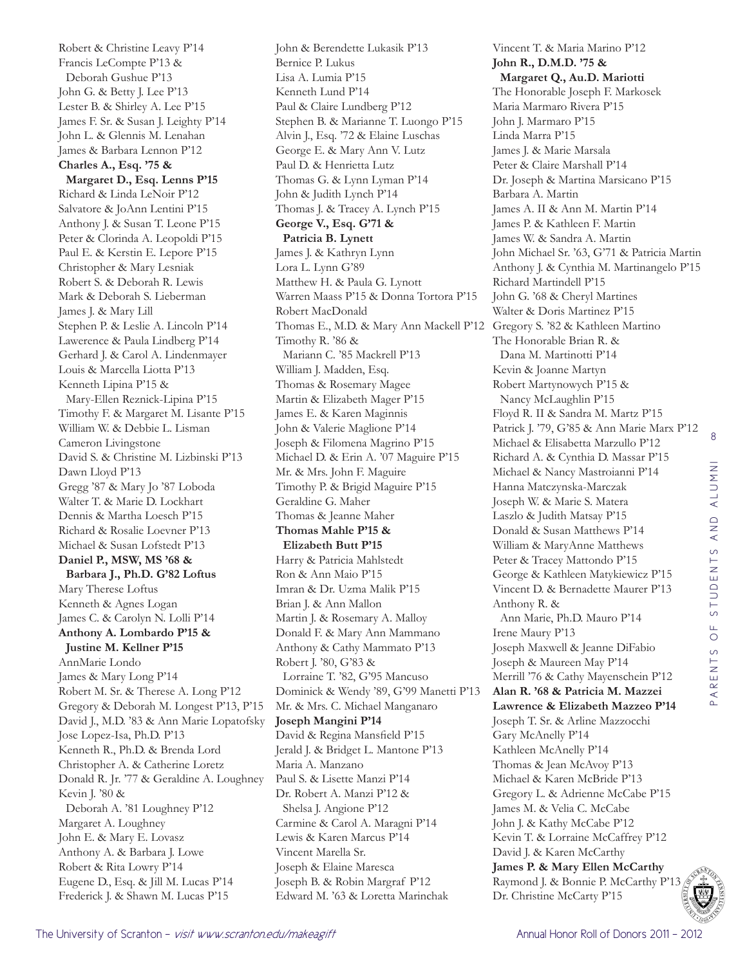Robert & Christine Leavy P'14 Francis LeCompte P'13 & Deborah Gushue P'13 John G. & Betty J. Lee P'13 Lester B. & Shirley A. Lee P'15 James F. Sr. & Susan J. Leighty P'14 John L. & Glennis M. Lenahan James & Barbara Lennon P'12 **Charles A., Esq. '75 & Margaret D., Esq. Lenns P'15** Richard & Linda LeNoir P'12 Salvatore & JoAnn Lentini P'15 Anthony J. & Susan T. Leone P'15 Peter & Clorinda A. Leopoldi P'15 Paul E. & Kerstin E. Lepore P'15 Christopher & Mary Lesniak Robert S. & Deborah R. Lewis Mark & Deborah S. Lieberman James J. & Mary Lill Stephen P. & Leslie A. Lincoln P'14 Lawerence & Paula Lindberg P'14 Gerhard J. & Carol A. Lindenmayer Louis & Marcella Liotta P'13 Kenneth Lipina P'15 & Mary-Ellen Reznick-Lipina P'15 Timothy F. & Margaret M. Lisante P'15 William W. & Debbie L. Lisman Cameron Livingstone David S. & Christine M. Lizbinski P'13 Dawn Lloyd P'13 Gregg '87 & Mary Jo '87 Loboda Walter T. & Marie D. Lockhart Dennis & Martha Loesch P'15 Richard & Rosalie Loevner P'13 Michael & Susan Lofstedt P'13 **Daniel P., MSW, MS '68 & Barbara J., Ph.D. G'82 Loftus** Mary Therese Loftus Kenneth & Agnes Logan James C. & Carolyn N. Lolli P'14 **Anthony A. Lombardo P'15 & Justine M. Kellner P'15** AnnMarie Londo James & Mary Long P'14 Robert M. Sr. & Therese A. Long P'12 Gregory & Deborah M. Longest P'13, P'15 David J., M.D. '83 & Ann Marie Lopatofsky Jose Lopez-Isa, Ph.D. P'13 Kenneth R., Ph.D. & Brenda Lord Christopher A. & Catherine Loretz Donald R. Jr. '77 & Geraldine A. Loughney Kevin J. '80 & Deborah A. '81 Loughney P'12 Margaret A. Loughney John E. & Mary E. Lovasz Anthony A. & Barbara J. Lowe Robert & Rita Lowry P'14 Eugene D., Esq. & Jill M. Lucas P'14 Frederick J. & Shawn M. Lucas P'15

John & Berendette Lukasik P'13 Bernice P. Lukus Lisa A. Lumia P'15 Kenneth Lund P'14 Paul & Claire Lundberg P'12 Stephen B. & Marianne T. Luongo P'15 Alvin J., Esq. '72 & Elaine Luschas George E. & Mary Ann V. Lutz Paul D. & Henrietta Lutz Thomas G. & Lynn Lyman P'14 John & Judith Lynch P'14 Thomas J. & Tracey A. Lynch P'15 **George V., Esq. G'71 & Patricia B. Lynett** James J. & Kathryn Lynn Lora L. Lynn G'89 Matthew H. & Paula G. Lynott Warren Maass P'15 & Donna Tortora P'15 Robert MacDonald Thomas E., M.D. & Mary Ann Mackell P'12 Gregory S. '82 & Kathleen Martino Timothy R. '86 & Mariann C. '85 Mackrell P'13 William J. Madden, Esq. Thomas & Rosemary Magee Martin & Elizabeth Mager P'15 James E. & Karen Maginnis John & Valerie Maglione P'14 Joseph & Filomena Magrino P'15 Michael D. & Erin A. '07 Maguire P'15 Mr. & Mrs. John F. Maguire Timothy P. & Brigid Maguire P'15 Geraldine G. Maher Thomas & Jeanne Maher **Thomas Mahle P'15 & Elizabeth Butt P'15** Harry & Patricia Mahlstedt Ron & Ann Maio P'15 Imran & Dr. Uzma Malik P'15 Brian J. & Ann Mallon Martin J. & Rosemary A. Malloy Donald F. & Mary Ann Mammano Anthony & Cathy Mammato P'13 Robert J. '80, G'83 & Lorraine T. '82, G'95 Mancuso Dominick & Wendy '89, G'99 Manetti P'13 Mr. & Mrs. C. Michael Manganaro **Joseph Mangini P'14** David & Regina Mansfield P'15 Jerald J. & Bridget L. Mantone P'13 Maria A. Manzano Paul S. & Lisette Manzi P'14 Dr. Robert A. Manzi P'12 & Shelsa J. Angione P'12 Carmine & Carol A. Maragni P'14 Lewis & Karen Marcus P'14 Vincent Marella Sr. Joseph & Elaine Maresca Joseph B. & Robin Margraf P'12 Edward M. '63 & Loretta Marinchak

Vincent T. & Maria Marino P'12 **John R., D.M.D. '75 & Margaret Q., Au.D. Mariotti** The Honorable Joseph F. Markosek Maria Marmaro Rivera P'15 John J. Marmaro P'15 Linda Marra P'15 James J. & Marie Marsala Peter & Claire Marshall P'14 Dr. Joseph & Martina Marsicano P'15 Barbara A. Martin James A. II & Ann M. Martin P'14 James P. & Kathleen F. Martin James W. & Sandra A. Martin John Michael Sr. '63, G'71 & Patricia Martin Anthony J. & Cynthia M. Martinangelo P'15 Richard Martindell P'15 John G. '68 & Cheryl Martines Walter & Doris Martinez P'15 The Honorable Brian R. & Dana M. Martinotti P'14 Kevin & Joanne Martyn Robert Martynowych P'15 & Nancy McLaughlin P'15 Floyd R. II & Sandra M. Martz P'15 Patrick J. '79, G'85 & Ann Marie Marx P'12 Michael & Elisabetta Marzullo P'12 Richard A. & Cynthia D. Massar P'15 Michael & Nancy Mastroianni P'14 Hanna Matczynska-Marczak Joseph W. & Marie S. Matera Laszlo & Judith Matsay P'15 Donald & Susan Matthews P'14 William & MaryAnne Matthews Peter & Tracey Mattondo P'15 George & Kathleen Matykiewicz P'15 Vincent D. & Bernadette Maurer P'13 Anthony R. & Ann Marie, Ph.D. Mauro P'14 Irene Maury P'13 Joseph Maxwell & Jeanne DiFabio Joseph & Maureen May P'14 Merrill '76 & Cathy Mayenschein P'12 **Alan R. '68 & Patricia M. Mazzei Lawrence & Elizabeth Mazzeo P'14** Joseph T. Sr. & Arline Mazzocchi Gary McAnelly P'14 Kathleen McAnelly P'14 Thomas & Jean McAvoy P'13 Michael & Karen McBride P'13 Gregory L. & Adrienne McCabe P'15 James M. & Velia C. McCabe John J. & Kathy McCabe P'12 Kevin T. & Lorraine McCaffrey P'12 David J. & Karen McCarthy **James P. & Mary Ellen McCarthy** Raymond J. & Bonnie P. McCarthy P'13 Dr. Christine McCarty P'15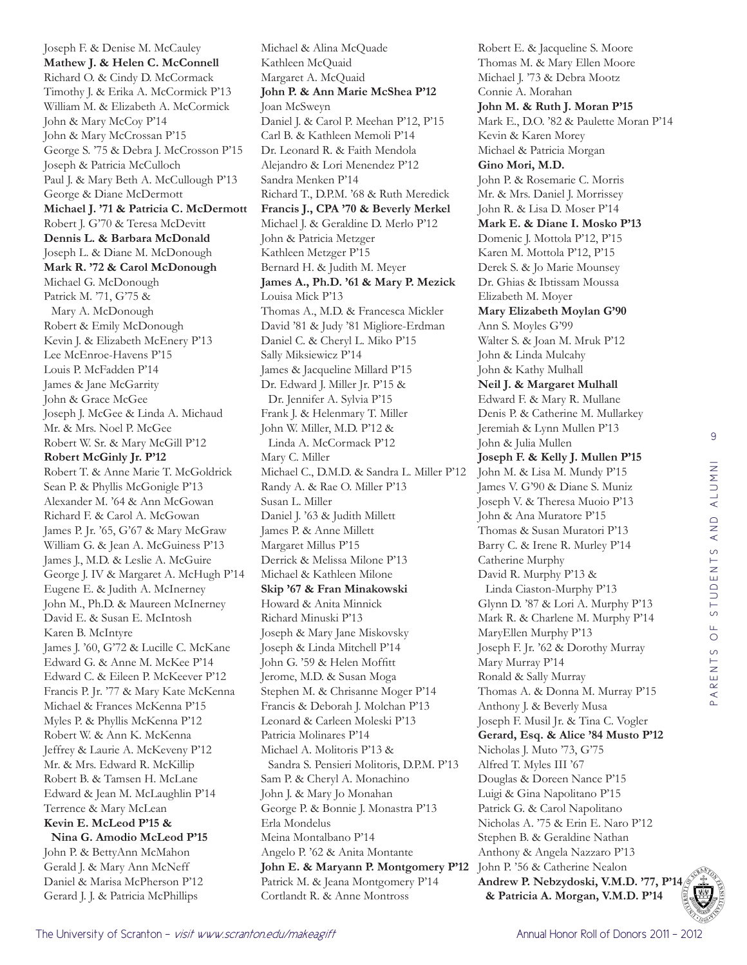Joseph F. & Denise M. McCauley **Mathew J. & Helen C. McConnell** Richard O. & Cindy D. McCormack Timothy J. & Erika A. McCormick P'13 William M. & Elizabeth A. McCormick John & Mary McCoy P'14 John & Mary McCrossan P'15 George S. '75 & Debra J. McCrosson P'15 Joseph & Patricia McCulloch Paul J. & Mary Beth A. McCullough P'13 George & Diane McDermott **Michael J. '71 & Patricia C. McDermott** Robert J. G'70 & Teresa McDevitt **Dennis L. & Barbara McDonald** Joseph L. & Diane M. McDonough **Mark R. '72 & Carol McDonough** Michael G. McDonough Patrick M. '71, G'75 & Mary A. McDonough Robert & Emily McDonough Kevin J. & Elizabeth McEnery P'13 Lee McEnroe-Havens P'15 Louis P. McFadden P'14 James & Jane McGarrity John & Grace McGee Joseph J. McGee & Linda A. Michaud Mr. & Mrs. Noel P. McGee Robert W. Sr. & Mary McGill P'12 **Robert McGinly Jr. P'12** Robert T. & Anne Marie T. McGoldrick Sean P. & Phyllis McGonigle P'13 Alexander M. '64 & Ann McGowan Richard F. & Carol A. McGowan James P. Jr. '65, G'67 & Mary McGraw William G. & Jean A. McGuiness P'13 James J., M.D. & Leslie A. McGuire George J. IV & Margaret A. McHugh P'14 Eugene E. & Judith A. McInerney John M., Ph.D. & Maureen McInerney David E. & Susan E. McIntosh Karen B. McIntyre James J. '60, G'72 & Lucille C. McKane Edward G. & Anne M. McKee P'14 Edward C. & Eileen P. McKeever P'12 Francis P. Jr. '77 & Mary Kate McKenna Michael & Frances McKenna P'15 Myles P. & Phyllis McKenna P'12 Robert W. & Ann K. McKenna Jeffrey & Laurie A. McKeveny P'12 Mr. & Mrs. Edward R. McKillip Robert B. & Tamsen H. McLane Edward & Jean M. McLaughlin P'14 Terrence & Mary McLean **Kevin E. McLeod P'15 & Nina G. Amodio McLeod P'15**

John P. & BettyAnn McMahon Gerald J. & Mary Ann McNeff Daniel & Marisa McPherson P'12 Gerard J. J. & Patricia McPhillips

Michael & Alina McQuade Kathleen McQuaid Margaret A. McQuaid **John P. & Ann Marie McShea P'12** Joan McSweyn Daniel J. & Carol P. Meehan P'12, P'15 Carl B. & Kathleen Memoli P'14 Dr. Leonard R. & Faith Mendola Alejandro & Lori Menendez P'12 Sandra Menken P'14 Richard T., D.P.M. '68 & Ruth Meredick **Francis J., CPA '70 & Beverly Merkel** Michael J. & Geraldine D. Merlo P'12 John & Patricia Metzger Kathleen Metzger P'15 Bernard H. & Judith M. Meyer **James A., Ph.D. '61 & Mary P. Mezick** Louisa Mick P'13 Thomas A., M.D. & Francesca Mickler David '81 & Judy '81 Migliore-Erdman Daniel C. & Cheryl L. Miko P'15 Sally Miksiewicz P'14 James & Jacqueline Millard P'15 Dr. Edward J. Miller Jr. P'15 & Dr. Jennifer A. Sylvia P'15 Frank J. & Helenmary T. Miller John W. Miller, M.D. P'12 & Linda A. McCormack P'12 Mary C. Miller Michael C., D.M.D. & Sandra L. Miller P'12 Randy A. & Rae O. Miller P'13 Susan L. Miller Daniel J. '63 & Judith Millett James P. & Anne Millett Margaret Millus P'15 Derrick & Melissa Milone P'13 Michael & Kathleen Milone **Skip '67 & Fran Minakowski** Howard & Anita Minnick Richard Minuski P'13 Joseph & Mary Jane Miskovsky Joseph & Linda Mitchell P'14 John G. '59 & Helen Moffitt Jerome, M.D. & Susan Moga Stephen M. & Chrisanne Moger P'14 Francis & Deborah J. Molchan P'13 Leonard & Carleen Moleski P'13 Patricia Molinares P'14 Michael A. Molitoris P'13 & Sandra S. Pensieri Molitoris, D.P.M. P'13 Sam P. & Cheryl A. Monachino John J. & Mary Jo Monahan George P. & Bonnie J. Monastra P'13 Erla Mondelus Meina Montalbano P'14 Angelo P. '62 & Anita Montante **John E. & Maryann P. Montgomery P'12** Patrick M. & Jeana Montgomery P'14 Cortlandt R. & Anne Montross

Robert E. & Jacqueline S. Moore Thomas M. & Mary Ellen Moore Michael J. '73 & Debra Mootz Connie A. Morahan **John M. & Ruth J. Moran P'15** Mark E., D.O. '82 & Paulette Moran P'14 Kevin & Karen Morey Michael & Patricia Morgan **Gino Mori, M.D.**  John P. & Rosemarie C. Morris Mr. & Mrs. Daniel J. Morrissey John R. & Lisa D. Moser P'14 **Mark E. & Diane I. Mosko P'13** Domenic J. Mottola P'12, P'15 Karen M. Mottola P'12, P'15 Derek S. & Jo Marie Mounsey Dr. Ghias & Ibtissam Moussa Elizabeth M. Moyer **Mary Elizabeth Moylan G'90** Ann S. Moyles G'99 Walter S. & Joan M. Mruk P'12 John & Linda Mulcahy John & Kathy Mulhall **Neil J. & Margaret Mulhall** Edward F. & Mary R. Mullane Denis P. & Catherine M. Mullarkey Jeremiah & Lynn Mullen P'13 John & Julia Mullen **Joseph F. & Kelly J. Mullen P'15** John M. & Lisa M. Mundy P'15 James V. G'90 & Diane S. Muniz Joseph V. & Theresa Muoio P'13 John & Ana Muratore P'15 Thomas & Susan Muratori P'13 Barry C. & Irene R. Murley P'14 Catherine Murphy David R. Murphy P'13 & Linda Ciaston-Murphy P'13 Glynn D. '87 & Lori A. Murphy P'13 Mark R. & Charlene M. Murphy P'14 MaryEllen Murphy P'13 Joseph F. Jr. '62 & Dorothy Murray Mary Murray P'14 Ronald & Sally Murray Thomas A. & Donna M. Murray P'15 Anthony J. & Beverly Musa Joseph F. Musil Jr. & Tina C. Vogler **Gerard, Esq. & Alice '84 Musto P'12** Nicholas J. Muto '73, G'75 Alfred T. Myles III '67 Douglas & Doreen Nance P'15 Luigi & Gina Napolitano P'15 Patrick G. & Carol Napolitano Nicholas A. '75 & Erin E. Naro P'12 Stephen B. & Geraldine Nathan Anthony & Angela Nazzaro P'13 John P. '56 & Catherine Nealon **Andrew P. Nebzydoski, V.M.D. '77, P'14 & Patricia A. Morgan, V.M.D. P'14**

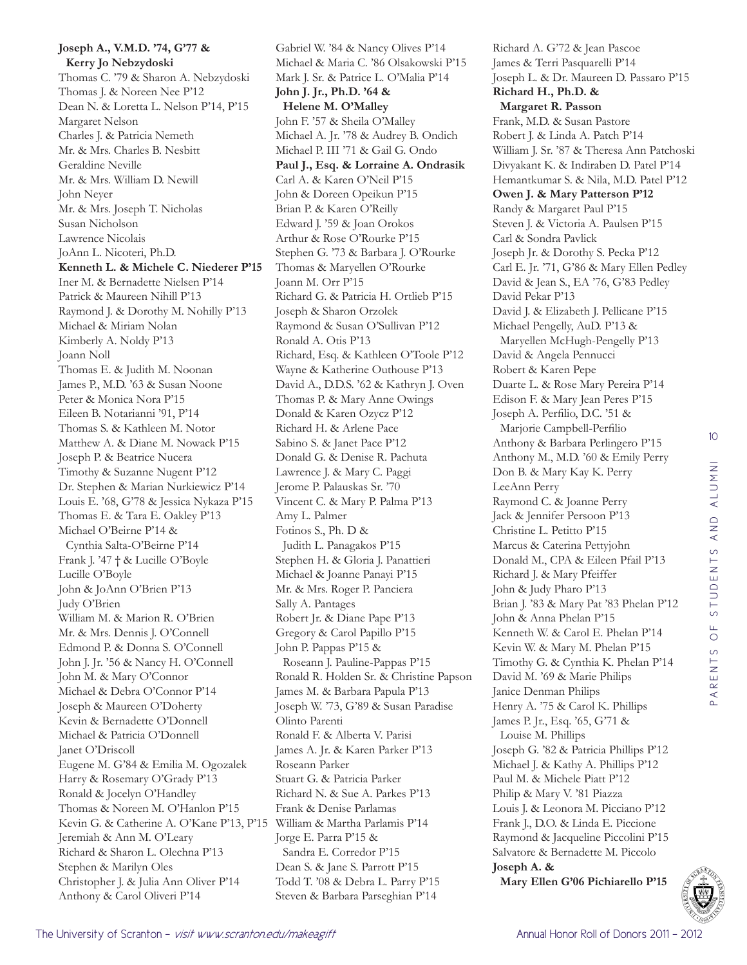## **Joseph A., V.M.D. '74, G'77 & Kerry Jo Nebzydoski**

Thomas C. '79 & Sharon A. Nebzydoski Thomas J. & Noreen Nee P'12 Dean N. & Loretta L. Nelson P'14, P'15 Margaret Nelson Charles J. & Patricia Nemeth Mr. & Mrs. Charles B. Nesbitt Geraldine Neville Mr. & Mrs. William D. Newill John Neyer Mr. & Mrs. Joseph T. Nicholas Susan Nicholson Lawrence Nicolais JoAnn L. Nicoteri, Ph.D. **Kenneth L. & Michele C. Niederer P'15** Iner M. & Bernadette Nielsen P'14 Patrick & Maureen Nihill P'13 Raymond J. & Dorothy M. Nohilly P'13 Michael & Miriam Nolan Kimberly A. Noldy P'13 Joann Noll Thomas E. & Judith M. Noonan James P., M.D. '63 & Susan Noone Peter & Monica Nora P'15 Eileen B. Notarianni '91, P'14 Thomas S. & Kathleen M. Notor Matthew A. & Diane M. Nowack P'15 Joseph P. & Beatrice Nucera Timothy & Suzanne Nugent P'12 Dr. Stephen & Marian Nurkiewicz P'14 Louis E. '68, G'78 & Jessica Nykaza P'15 Thomas E. & Tara E. Oakley P'13 Michael O'Beirne P'14 & Cynthia Salta-O'Beirne P'14 Frank J. '47 † & Lucille O'Boyle Lucille O'Boyle John & JoAnn O'Brien P'13 Judy O'Brien William M. & Marion R. O'Brien Mr. & Mrs. Dennis J. O'Connell Edmond P. & Donna S. O'Connell John J. Jr. '56 & Nancy H. O'Connell John M. & Mary O'Connor Michael & Debra O'Connor P'14 Joseph & Maureen O'Doherty Kevin & Bernadette O'Donnell Michael & Patricia O'Donnell Janet O'Driscoll Eugene M. G'84 & Emilia M. Ogozalek Harry & Rosemary O'Grady P'13 Ronald & Jocelyn O'Handley Thomas & Noreen M. O'Hanlon P'15 Kevin G. & Catherine A. O'Kane P'13, P'15 William & Martha Parlamis P'14 Jeremiah & Ann M. O'Leary Richard & Sharon L. Olechna P'13 Stephen & Marilyn Oles Christopher J. & Julia Ann Oliver P'14 Anthony & Carol Oliveri P'14

Gabriel W. '84 & Nancy Olives P'14 Michael & Maria C. '86 Olsakowski P'15 Mark J. Sr. & Patrice L. O'Malia P'14 **John J. Jr., Ph.D. '64 & Helene M. O'Malley** John F. '57 & Sheila O'Malley Michael A. Jr. '78 & Audrey B. Ondich Michael P. III '71 & Gail G. Ondo **Paul J., Esq. & Lorraine A. Ondrasik** Carl A. & Karen O'Neil P'15 John & Doreen Opeikun P'15 Brian P. & Karen O'Reilly Edward J. '59 & Joan Orokos Arthur & Rose O'Rourke P'15 Stephen G. '73 & Barbara J. O'Rourke Thomas & Maryellen O'Rourke Joann M. Orr P'15 Richard G. & Patricia H. Ortlieb P'15 Joseph & Sharon Orzolek Raymond & Susan O'Sullivan P'12 Ronald A. Otis P'13 Richard, Esq. & Kathleen O'Toole P'12 Wayne & Katherine Outhouse P'13 David A., D.D.S. '62 & Kathryn J. Oven Thomas P. & Mary Anne Owings Donald & Karen Ozycz P'12 Richard H. & Arlene Pace Sabino S. & Janet Pace P'12 Donald G. & Denise R. Pachuta Lawrence J. & Mary C. Paggi Jerome P. Palauskas Sr. '70 Vincent C. & Mary P. Palma P'13 Amy L. Palmer Fotinos S., Ph. D & Judith L. Panagakos P'15 Stephen H. & Gloria J. Panattieri Michael & Joanne Panayi P'15 Mr. & Mrs. Roger P. Panciera Sally A. Pantages Robert Jr. & Diane Pape P'13 Gregory & Carol Papillo P'15 John P. Pappas P'15 & Roseann J. Pauline-Pappas P'15 Ronald R. Holden Sr. & Christine Papson James M. & Barbara Papula P'13 Joseph W. '73, G'89 & Susan Paradise Olinto Parenti Ronald F. & Alberta V. Parisi James A. Jr. & Karen Parker P'13 Roseann Parker Stuart G. & Patricia Parker Richard N. & Sue A. Parkes P'13 Frank & Denise Parlamas Jorge E. Parra P'15 & Sandra E. Corredor P'15 Dean S. & Jane S. Parrott P'15 Todd T. '08 & Debra L. Parry P'15

Steven & Barbara Parseghian P'14

Richard A. G'72 & Jean Pascoe James & Terri Pasquarelli P'14 Joseph L. & Dr. Maureen D. Passaro P'15 **Richard H., Ph.D. & Margaret R. Passon** Frank, M.D. & Susan Pastore Robert J. & Linda A. Patch P'14 William J. Sr. '87 & Theresa Ann Patchoski Divyakant K. & Indiraben D. Patel P'14 Hemantkumar S. & Nila, M.D. Patel P'12 **Owen J. & Mary Patterson P'12** Randy & Margaret Paul P'15 Steven J. & Victoria A. Paulsen P'15 Carl & Sondra Pavlick Joseph Jr. & Dorothy S. Pecka P'12 Carl E. Jr. '71, G'86 & Mary Ellen Pedley David & Jean S., EA '76, G'83 Pedley David Pekar P'13 David J. & Elizabeth J. Pellicane P'15 Michael Pengelly, AuD. P'13 & Maryellen McHugh-Pengelly P'13 David & Angela Pennucci Robert & Karen Pepe Duarte L. & Rose Mary Pereira P'14 Edison F. & Mary Jean Peres P'15 Joseph A. Perfilio, D.C. '51 & Marjorie Campbell-Perfilio Anthony & Barbara Perlingero P'15 Anthony M., M.D. '60 & Emily Perry Don B. & Mary Kay K. Perry LeeAnn Perry Raymond C. & Joanne Perry Jack & Jennifer Persoon P'13 Christine L. Petitto P'15 Marcus & Caterina Pettyjohn Donald M., CPA & Eileen Pfail P'13 Richard J. & Mary Pfeiffer John & Judy Pharo P'13 Brian J. '83 & Mary Pat '83 Phelan P'12 John & Anna Phelan P'15 Kenneth W. & Carol E. Phelan P'14 Kevin W. & Mary M. Phelan P'15 Timothy G. & Cynthia K. Phelan P'14 David M. '69 & Marie Philips Janice Denman Philips Henry A. '75 & Carol K. Phillips James P. Jr., Esq. '65, G'71 & Louise M. Phillips Joseph G. '82 & Patricia Phillips P'12 Michael J. & Kathy A. Phillips P'12 Paul M. & Michele Piatt P'12 Philip & Mary V. '81 Piazza Louis J. & Leonora M. Picciano P'12 Frank J., D.O. & Linda E. Piccione Raymond & Jacqueline Piccolini P'15 Salvatore & Bernadette M. Piccolo **Joseph A. & Mary Ellen G'06 Pichiarello P'15**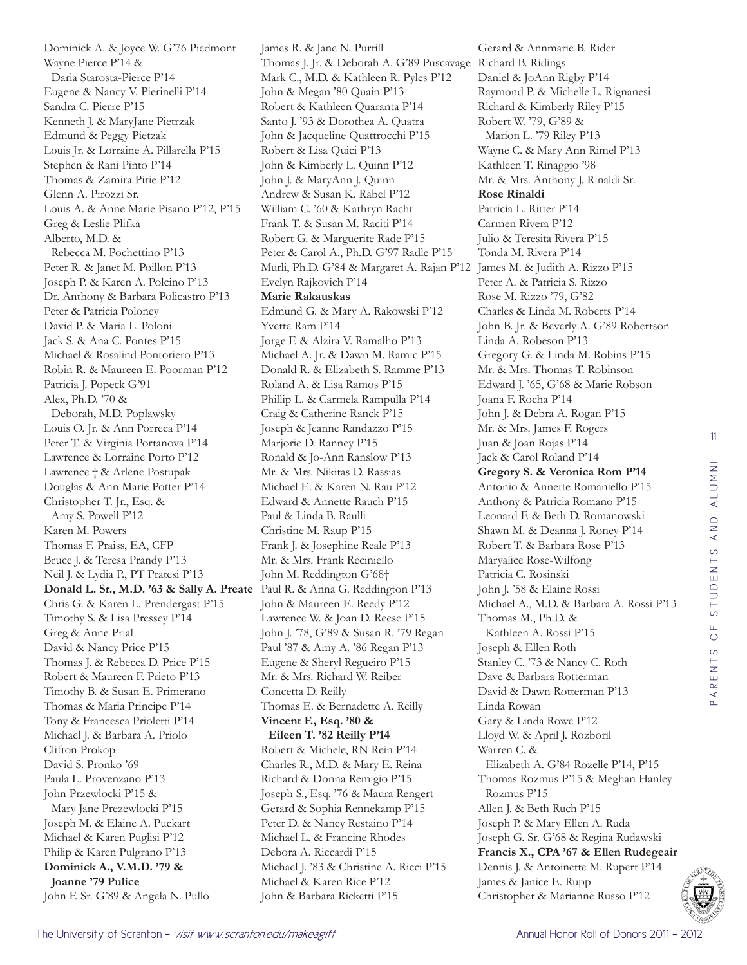Dominick A. & Joyce W. G'76 Piedmont Wayne Pierce P'14 & Daria Starosta-Pierce P'14 Eugene & Nancy V. Pierinelli P'14 Sandra C. Pierre P'15 Kenneth J. & MaryJane Pietrzak Edmund & Peggy Pietzak Louis Jr. & Lorraine A. Pillarella P'15 Stephen & Rani Pinto P'14 Thomas & Zamira Pirie P'12 Glenn A. Pirozzi Sr. Louis A. & Anne Marie Pisano P'12, P'15 Greg & Leslie Plifka Alberto, M.D. & Rebecca M. Pochettino P'13 Peter R. & Janet M. Poillon P'13 Joseph P. & Karen A. Polcino P'13 Dr. Anthony & Barbara Policastro P'13 Peter & Patricia Poloney David P. & Maria L. Poloni Jack S. & Ana C. Pontes P'15 Michael & Rosalind Pontoriero P'13 Robin R. & Maureen E. Poorman P'12 Patricia J. Popeck G'91 Alex, Ph.D. '70 & Deborah, M.D. Poplawsky Louis O. Jr. & Ann Porreca P'14 Peter T. & Virginia Portanova P'14 Lawrence & Lorraine Porto P'12 Lawrence † & Arlene Postupak Douglas & Ann Marie Potter P'14 Christopher T. Jr., Esq. & Amy S. Powell P'12 Karen M. Powers Thomas F. Praiss, EA, CFP Bruce J. & Teresa Prandy P'13 Neil J. & Lydia P., PT Pratesi P'13 **Donald L. Sr., M.D. '63 & Sally A. Preate** Paul R. & Anna G. Reddington P'13 Chris G. & Karen L. Prendergast P'15 Timothy S. & Lisa Pressey P'14 Greg & Anne Prial David & Nancy Price P'15 Thomas J. & Rebecca D. Price P'15 Robert & Maureen F. Prieto P'13 Timothy B. & Susan E. Primerano Thomas & Maria Principe P'14 Tony & Francesca Prioletti P'14 Michael J. & Barbara A. Priolo Clifton Prokop David S. Pronko '69 Paula L. Provenzano P'13 John Przewlocki P'15 & Mary Jane Prezewlocki P'15 Joseph M. & Elaine A. Puckart Michael & Karen Puglisi P'12 Philip & Karen Pulgrano P'13 **Dominick A., V.M.D. '79 & Joanne '79 Pulice** John F. Sr. G'89 & Angela N. Pullo

James R. & Jane N. Purtill Thomas J. Jr. & Deborah A. G'89 Puscavage Richard B. Ridings Mark C., M.D. & Kathleen R. Pyles P'12 John & Megan '80 Quain P'13 Robert & Kathleen Quaranta P'14 Santo J. '93 & Dorothea A. Quatra John & Jacqueline Quattrocchi P'15 Robert & Lisa Quici P'13 John & Kimberly L. Quinn P'12 John J. & MaryAnn J. Quinn Andrew & Susan K. Rabel P'12 William C. '60 & Kathryn Racht Frank T. & Susan M. Raciti P'14 Robert G. & Marguerite Rade P'15 Peter & Carol A., Ph.D. G'97 Radle P'15 Murli, Ph.D. G'84 & Margaret A. Rajan P'12 James M. & Judith A. Rizzo P'15 Evelyn Rajkovich P'14 **Marie Rakauskas**  Edmund G. & Mary A. Rakowski P'12 Yvette Ram P'14 Jorge F. & Alzira V. Ramalho P'13 Michael A. Jr. & Dawn M. Ramic P'15 Donald R. & Elizabeth S. Ramme P'13 Roland A. & Lisa Ramos P'15 Phillip L. & Carmela Rampulla P'14 Craig & Catherine Ranck P'15 Joseph & Jeanne Randazzo P'15 Marjorie D. Ranney P'15 Ronald & Jo-Ann Ranslow P'13 Mr. & Mrs. Nikitas D. Rassias Michael E. & Karen N. Rau P'12 Edward & Annette Rauch P'15 Paul & Linda B. Raulli Christine M. Raup P'15 Frank J. & Josephine Reale P'13 Mr. & Mrs. Frank Reciniello John M. Reddington G'68† John & Maureen E. Reedy P'12 Lawrence W. & Joan D. Reese P'15 John J. '78, G'89 & Susan R. '79 Regan Paul '87 & Amy A. '86 Regan P'13 Eugene & Sheryl Regueiro P'15 Mr. & Mrs. Richard W. Reiber Concetta D. Reilly Thomas E. & Bernadette A. Reilly **Vincent F., Esq. '80 & Eileen T. '82 Reilly P'14** Robert & Michele, RN Rein P'14 Charles R., M.D. & Mary E. Reina Richard & Donna Remigio P'15 Joseph S., Esq. '76 & Maura Rengert Gerard & Sophia Rennekamp P'15 Peter D. & Nancy Restaino P'14 Michael L. & Francine Rhodes Debora A. Riccardi P'15 Michael J. '83 & Christine A. Ricci P'15 Michael & Karen Rice P'12 John & Barbara Ricketti P'15

Gerard & Annmarie B. Rider Daniel & JoAnn Rigby P'14 Raymond P. & Michelle L. Rignanesi Richard & Kimberly Riley P'15 Robert W. '79, G'89 & Marion L. '79 Riley P'13 Wayne C. & Mary Ann Rimel P'13 Kathleen T. Rinaggio '98 Mr. & Mrs. Anthony J. Rinaldi Sr. **Rose Rinaldi**  Patricia L. Ritter P'14 Carmen Rivera P'12 Julio & Teresita Rivera P'15 Tonda M. Rivera P'14 Peter A. & Patricia S. Rizzo Rose M. Rizzo '79, G'82 Charles & Linda M. Roberts P'14 John B. Jr. & Beverly A. G'89 Robertson Linda A. Robeson P'13 Gregory G. & Linda M. Robins P'15 Mr. & Mrs. Thomas T. Robinson Edward J. '65, G'68 & Marie Robson Joana F. Rocha P'14 John J. & Debra A. Rogan P'15 Mr. & Mrs. James F. Rogers Juan & Joan Rojas P'14 Jack & Carol Roland P'14 **Gregory S. & Veronica Rom P'14** Antonio & Annette Romaniello P'15 Anthony & Patricia Romano P'15 Leonard F. & Beth D. Romanowski Shawn M. & Deanna J. Roney P'14 Robert T. & Barbara Rose P'13 Maryalice Rose-Wilfong Patricia C. Rosinski John J. '58 & Elaine Rossi Michael A., M.D. & Barbara A. Rossi P'13 Thomas M., Ph.D. & Kathleen A. Rossi P'15 Joseph & Ellen Roth Stanley C. '73 & Nancy C. Roth Dave & Barbara Rotterman David & Dawn Rotterman P'13 Linda Rowan Gary & Linda Rowe P'12 Lloyd W. & April J. Rozboril Warren C. & Elizabeth A. G'84 Rozelle P'14, P'15 Thomas Rozmus P'15 & Meghan Hanley Rozmus P'15 Allen J. & Beth Ruch P'15 Joseph P. & Mary Ellen A. Ruda Joseph G. Sr. G'68 & Regina Rudawski **Francis X., CPA '67 & Ellen Rudegeair** Dennis J. & Antoinette M. Rupert P'14 James & Janice E. Rupp Christopher & Marianne Russo P'12

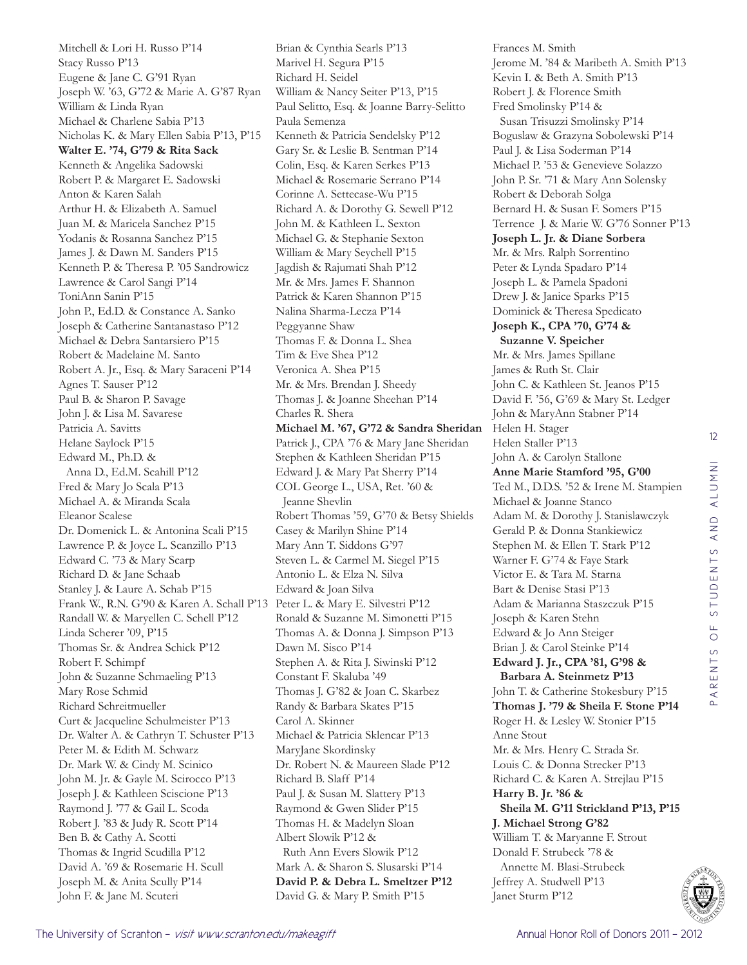Mitchell & Lori H. Russo P'14 Stacy Russo P'13 Eugene & Jane C. G'91 Ryan Joseph W. '63, G'72 & Marie A. G'87 Ryan William & Linda Ryan Michael & Charlene Sabia P'13 Nicholas K. & Mary Ellen Sabia P'13, P'15 **Walter E. '74, G'79 & Rita Sack** Kenneth & Angelika Sadowski Robert P. & Margaret E. Sadowski Anton & Karen Salah Arthur H. & Elizabeth A. Samuel Juan M. & Maricela Sanchez P'15 Yodanis & Rosanna Sanchez P'15 James J. & Dawn M. Sanders P'15 Kenneth P. & Theresa P. '05 Sandrowicz Lawrence & Carol Sangi P'14 ToniAnn Sanin P'15 John P., Ed.D. & Constance A. Sanko Joseph & Catherine Santanastaso P'12 Michael & Debra Santarsiero P'15 Robert & Madelaine M. Santo Robert A. Jr., Esq. & Mary Saraceni P'14 Agnes T. Sauser P'12 Paul B. & Sharon P. Savage John J. & Lisa M. Savarese Patricia A. Savitts Helane Saylock P'15 Edward M., Ph.D. & Anna D., Ed.M. Scahill P'12 Fred & Mary Jo Scala P'13 Michael A. & Miranda Scala Eleanor Scalese Dr. Domenick L. & Antonina Scali P'15 Lawrence P. & Joyce L. Scanzillo P'13 Edward C. '73 & Mary Scarp Richard D. & Jane Schaab Stanley J. & Laure A. Schab P'15 Frank W., R.N. G'90 & Karen A. Schall P'13 Peter L. & Mary E. Silvestri P'12 Randall W. & Maryellen C. Schell P'12 Linda Scherer '09, P'15 Thomas Sr. & Andrea Schick P'12 Robert F. Schimpf John & Suzanne Schmaeling P'13 Mary Rose Schmid Richard Schreitmueller Curt & Jacqueline Schulmeister P'13 Dr. Walter A. & Cathryn T. Schuster P'13 Peter M. & Edith M. Schwarz Dr. Mark W. & Cindy M. Scinico John M. Jr. & Gayle M. Scirocco P'13 Joseph J. & Kathleen Sciscione P'13 Raymond J. '77 & Gail L. Scoda Robert J. '83 & Judy R. Scott P'14 Ben B. & Cathy A. Scotti Thomas & Ingrid Scudilla P'12 David A. '69 & Rosemarie H. Scull Joseph M. & Anita Scully P'14 John F. & Jane M. Scuteri

Brian & Cynthia Searls P'13 Marivel H. Segura P'15 Richard H. Seidel William & Nancy Seiter P'13, P'15 Paul Selitto, Esq. & Joanne Barry-Selitto Paula Semenza Kenneth & Patricia Sendelsky P'12 Gary Sr. & Leslie B. Sentman P'14 Colin, Esq. & Karen Serkes P'13 Michael & Rosemarie Serrano P'14 Corinne A. Settecase-Wu P'15 Richard A. & Dorothy G. Sewell P'12 John M. & Kathleen L. Sexton Michael G. & Stephanie Sexton William & Mary Seychell P'15 Jagdish & Rajumati Shah P'12 Mr. & Mrs. James F. Shannon Patrick & Karen Shannon P'15 Nalina Sharma-Lecza P'14 Peggyanne Shaw Thomas F. & Donna L. Shea Tim & Eve Shea P'12 Veronica A. Shea P'15 Mr. & Mrs. Brendan J. Sheedy Thomas J. & Joanne Sheehan P'14 Charles R. Shera **Michael M. '67, G'72 & Sandra Sheridan** Patrick J., CPA '76 & Mary Jane Sheridan Stephen & Kathleen Sheridan P'15 Edward J. & Mary Pat Sherry P'14 COL George L., USA, Ret. '60 & Jeanne Shevlin Robert Thomas '59, G'70 & Betsy Shields Casey & Marilyn Shine P'14 Mary Ann T. Siddons G'97 Steven L. & Carmel M. Siegel P'15 Antonio L. & Elza N. Silva Edward & Joan Silva Ronald & Suzanne M. Simonetti P'15 Thomas A. & Donna J. Simpson P'13 Dawn M. Sisco P'14 Stephen A. & Rita J. Siwinski P'12 Constant F. Skaluba '49 Thomas J. G'82 & Joan C. Skarbez Randy & Barbara Skates P'15 Carol A. Skinner Michael & Patricia Sklencar P'13 MaryJane Skordinsky Dr. Robert N. & Maureen Slade P'12 Richard B. Slaff P'14 Paul J. & Susan M. Slattery P'13 Raymond & Gwen Slider P'15 Thomas H. & Madelyn Sloan Albert Slowik P'12 & Ruth Ann Evers Slowik P'12 Mark A. & Sharon S. Slusarski P'14 **David P. & Debra L. Smeltzer P'12** David G. & Mary P. Smith P'15

Frances M. Smith Jerome M. '84 & Maribeth A. Smith P'13 Kevin I. & Beth A. Smith P'13 Robert J. & Florence Smith Fred Smolinsky P'14 & Susan Trisuzzi Smolinsky P'14 Boguslaw & Grazyna Sobolewski P'14 Paul J. & Lisa Soderman P'14 Michael P. '53 & Genevieve Solazzo John P. Sr. '71 & Mary Ann Solensky Robert & Deborah Solga Bernard H. & Susan F. Somers P'15 Terrence J. & Marie W. G'76 Sonner P'13 **Joseph L. Jr. & Diane Sorbera** Mr. & Mrs. Ralph Sorrentino Peter & Lynda Spadaro P'14 Joseph L. & Pamela Spadoni Drew J. & Janice Sparks P'15 Dominick & Theresa Spedicato **Joseph K., CPA '70, G'74 & Suzanne V. Speicher** Mr. & Mrs. James Spillane James & Ruth St. Clair John C. & Kathleen St. Jeanos P'15 David F. '56, G'69 & Mary St. Ledger John & MaryAnn Stabner P'14 Helen H. Stager Helen Staller P'13 John A. & Carolyn Stallone **Anne Marie Stamford '95, G'00** Ted M., D.D.S. '52 & Irene M. Stampien Michael & Joanne Stanco Adam M. & Dorothy J. Stanislawczyk Gerald P. & Donna Stankiewicz Stephen M. & Ellen T. Stark P'12 Warner F. G'74 & Faye Stark Victor E. & Tara M. Starna Bart & Denise Stasi P'13 Adam & Marianna Staszczuk P'15 Joseph & Karen Stehn Edward & Jo Ann Steiger Brian J. & Carol Steinke P'14 **Edward J. Jr., CPA '81, G'98 & Barbara A. Steinmetz P'13** John T. & Catherine Stokesbury P'15 **Thomas J. '79 & Sheila F. Stone P'14** Roger H. & Lesley W. Stonier P'15 Anne Stout Mr. & Mrs. Henry C. Strada Sr. Louis C. & Donna Strecker P'13 Richard C. & Karen A. Strejlau P'15 **Harry B. Jr. '86 & Sheila M. G'11 Strickland P'13, P'15 J. Michael Strong G'82** William T. & Maryanne F. Strout Donald F. Strubeck '78 & Annette M. Blasi-Strubeck Jeffrey A. Studwell P'13 Janet Sturm P'12

12

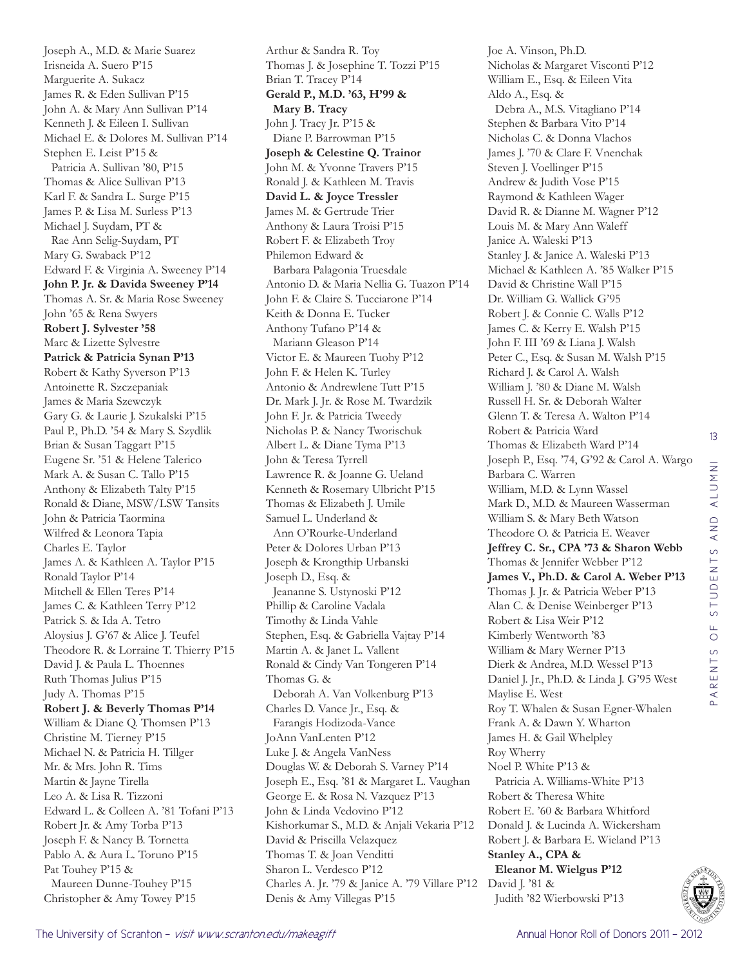Joseph A., M.D. & Marie Suarez Irisneida A. Suero P'15 Marguerite A. Sukacz James R. & Eden Sullivan P'15 John A. & Mary Ann Sullivan P'14 Kenneth J. & Eileen I. Sullivan Michael E. & Dolores M. Sullivan P'14 Stephen E. Leist P'15 & Patricia A. Sullivan '80, P'15 Thomas & Alice Sullivan P'13 Karl F. & Sandra L. Surge P'15 James P. & Lisa M. Surless P'13 Michael J. Suydam, PT & Rae Ann Selig-Suydam, PT Mary G. Swaback P'12 Edward F. & Virginia A. Sweeney P'14 **John P. Jr. & Davida Sweeney P'14** Thomas A. Sr. & Maria Rose Sweeney John '65 & Rena Swyers **Robert J. Sylvester '58** Marc & Lizette Sylvestre **Patrick & Patricia Synan P'13** Robert & Kathy Syverson P'13 Antoinette R. Szczepaniak James & Maria Szewczyk Gary G. & Laurie J. Szukalski P'15 Paul P., Ph.D. '54 & Mary S. Szydlik Brian & Susan Taggart P'15 Eugene Sr. '51 & Helene Talerico Mark A. & Susan C. Tallo P'15 Anthony & Elizabeth Talty P'15 Ronald & Diane, MSW/LSW Tansits John & Patricia Taormina Wilfred & Leonora Tapia Charles E. Taylor James A. & Kathleen A. Taylor P'15 Ronald Taylor P'14 Mitchell & Ellen Teres P'14 James C. & Kathleen Terry P'12 Patrick S. & Ida A. Tetro Aloysius J. G'67 & Alice J. Teufel Theodore R. & Lorraine T. Thierry P'15 David J. & Paula L. Thoennes Ruth Thomas Julius P'15 Judy A. Thomas P'15 **Robert J. & Beverly Thomas P'14** William & Diane Q. Thomsen P'13 Christine M. Tierney P'15 Michael N. & Patricia H. Tillger Mr. & Mrs. John R. Tims Martin & Jayne Tirella Leo A. & Lisa R. Tizzoni Edward L. & Colleen A. '81 Tofani P'13 Robert Jr. & Amy Torba P'13 Joseph F. & Nancy B. Tornetta Pablo A. & Aura L. Toruno P'15 Pat Touhey P'15 & Maureen Dunne-Touhey P'15 Christopher & Amy Towey P'15

Arthur & Sandra R. Toy Thomas J. & Josephine T. Tozzi P'15 Brian T. Tracey P'14 **Gerald P., M.D. '63, H'99 & Mary B. Tracy** John J. Tracy Jr. P'15 & Diane P. Barrowman P'15 **Joseph & Celestine Q. Trainor** John M. & Yvonne Travers P'15 Ronald J. & Kathleen M. Travis **David L. & Joyce Tressler** James M. & Gertrude Trier Anthony & Laura Troisi P'15 Robert F. & Elizabeth Troy Philemon Edward & Barbara Palagonia Truesdale Antonio D. & Maria Nellia G. Tuazon P'14 John F. & Claire S. Tucciarone P'14 Keith & Donna E. Tucker Anthony Tufano P'14 & Mariann Gleason P'14 Victor E. & Maureen Tuohy P'12 John F. & Helen K. Turley Antonio & Andrewlene Tutt P'15 Dr. Mark J. Jr. & Rose M. Twardzik John F. Jr. & Patricia Tweedy Nicholas P. & Nancy Tworischuk Albert L. & Diane Tyma P'13 John & Teresa Tyrrell Lawrence R. & Joanne G. Ueland Kenneth & Rosemary Ulbricht P'15 Thomas & Elizabeth J. Umile Samuel L. Underland & Ann O'Rourke-Underland Peter & Dolores Urban P'13 Joseph & Krongthip Urbanski Joseph D., Esq. & Jeananne S. Ustynoski P'12 Phillip & Caroline Vadala Timothy & Linda Vahle Stephen, Esq. & Gabriella Vajtay P'14 Martin A. & Janet L. Vallent Ronald & Cindy Van Tongeren P'14 Thomas G. & Deborah A. Van Volkenburg P'13 Charles D. Vance Jr., Esq. & Farangis Hodizoda-Vance JoAnn VanLenten P'12 Luke J. & Angela VanNess Douglas W. & Deborah S. Varney P'14 Joseph E., Esq. '81 & Margaret L. Vaughan George E. & Rosa N. Vazquez P'13 John & Linda Vedovino P'12 Kishorkumar S., M.D. & Anjali Vekaria P'12 David & Priscilla Velazquez Thomas T. & Joan Venditti Sharon L. Verdesco P'12 Charles A. Jr. '79 & Janice A. '79 Villare P'12 David J. '81 & Denis & Amy Villegas P'15

Joe A. Vinson, Ph.D. Nicholas & Margaret Visconti P'12 William E., Esq. & Eileen Vita Aldo A., Esq. & Debra A., M.S. Vitagliano P'14 Stephen & Barbara Vito P'14 Nicholas C. & Donna Vlachos James J. '70 & Clare F. Vnenchak Steven J. Voellinger P'15 Andrew & Judith Vose P'15 Raymond & Kathleen Wager David R. & Dianne M. Wagner P'12 Louis M. & Mary Ann Waleff Janice A. Waleski P'13 Stanley J. & Janice A. Waleski P'13 Michael & Kathleen A. '85 Walker P'15 David & Christine Wall P'15 Dr. William G. Wallick G'95 Robert J. & Connie C. Walls P'12 James C. & Kerry E. Walsh P'15 John F. III '69 & Liana J. Walsh Peter C., Esq. & Susan M. Walsh P'15 Richard J. & Carol A. Walsh William J. '80 & Diane M. Walsh Russell H. Sr. & Deborah Walter Glenn T. & Teresa A. Walton P'14 Robert & Patricia Ward Thomas & Elizabeth Ward P'14 Joseph P., Esq. '74, G'92 & Carol A. Wargo Barbara C. Warren William, M.D. & Lynn Wassel Mark D., M.D. & Maureen Wasserman William S. & Mary Beth Watson Theodore O. & Patricia E. Weaver **Jeffrey C. Sr., CPA '73 & Sharon Webb** Thomas & Jennifer Webber P'12 **James V., Ph.D. & Carol A. Weber P'13** Thomas J. Jr. & Patricia Weber P'13 Alan C. & Denise Weinberger P'13 Robert & Lisa Weir P'12 Kimberly Wentworth '83 William & Mary Werner P'13 Dierk & Andrea, M.D. Wessel P'13 Daniel J. Jr., Ph.D. & Linda J. G'95 West Maylise E. West Roy T. Whalen & Susan Egner-Whalen Frank A. & Dawn Y. Wharton James H. & Gail Whelpley Roy Wherry Noel P. White P'13 & Patricia A. Williams-White P'13 Robert & Theresa White Robert E. '60 & Barbara Whitford Donald J. & Lucinda A. Wickersham Robert J. & Barbara E. Wieland P'13 **Stanley A., CPA & Eleanor M. Wielgus P'12** Judith '82 Wierbowski P'13